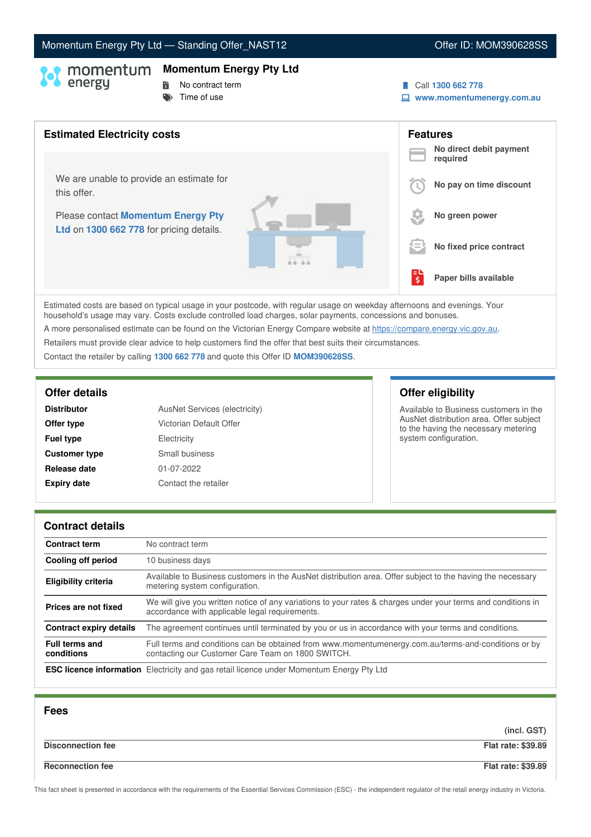# Momentum Energy Pty Ltd - Standing Offer\_NAST12 Communication Communication Communication Offer ID: MOM390628SS

### **Momentum Energy Pty Ltd**

- 
- **No contract term**  $\blacktriangleright$  Time of use
- Call **1300 662 778**
	- **www.momentumenergy.com.au**



Estimated costs are based on typical usage in your postcode, with regular usage on weekday afternoons and evenings. Your household's usage may vary. Costs exclude controlled load charges, solar payments, concessions and bonuses. A more personalised estimate can be found on the Victorian Energy Compare website at <https://compare.energy.vic.gov.au>. Retailers must provide clear advice to help customers find the offer that best suits their circumstances.

Contact the retailer by calling **1300 662 778** and quote this Offer ID **MOM390628SS**.

| <b>Distributor</b>   | AusNet Services (electricity) |  |
|----------------------|-------------------------------|--|
| Offer type           | Victorian Default Offer       |  |
| <b>Fuel type</b>     | Electricity                   |  |
| <b>Customer type</b> | Small business                |  |
| Release date         | 01-07-2022                    |  |
| <b>Expiry date</b>   | Contact the retailer          |  |

# **Offer details Offer eligibility**

Available to Business customers in the AusNet distribution area. Offer subject to the having the necessary metering system configuration.

### **Contract details**

| <b>Contract term</b>                | No contract term                                                                                                                                               |
|-------------------------------------|----------------------------------------------------------------------------------------------------------------------------------------------------------------|
| Cooling off period                  | 10 business days                                                                                                                                               |
| <b>Eligibility criteria</b>         | Available to Business customers in the AusNet distribution area. Offer subject to the having the necessary<br>metering system configuration.                   |
| Prices are not fixed                | We will give you written notice of any variations to your rates & charges under your terms and conditions in<br>accordance with applicable legal requirements. |
| <b>Contract expiry details</b>      | The agreement continues until terminated by you or us in accordance with your terms and conditions.                                                            |
| <b>Full terms and</b><br>conditions | Full terms and conditions can be obtained from www.momentumenergy.com.au/terms-and-conditions or by<br>contacting our Customer Care Team on 1800 SWITCH.       |
|                                     | <b>ESC licence information</b> Electricity and gas retail licence under Momentum Energy Pty Ltd                                                                |

| <b>Fees</b>              |                           |
|--------------------------|---------------------------|
|                          | (incl. GST)               |
| <b>Disconnection fee</b> | <b>Flat rate: \$39.89</b> |
| <b>Reconnection fee</b>  | <b>Flat rate: \$39.89</b> |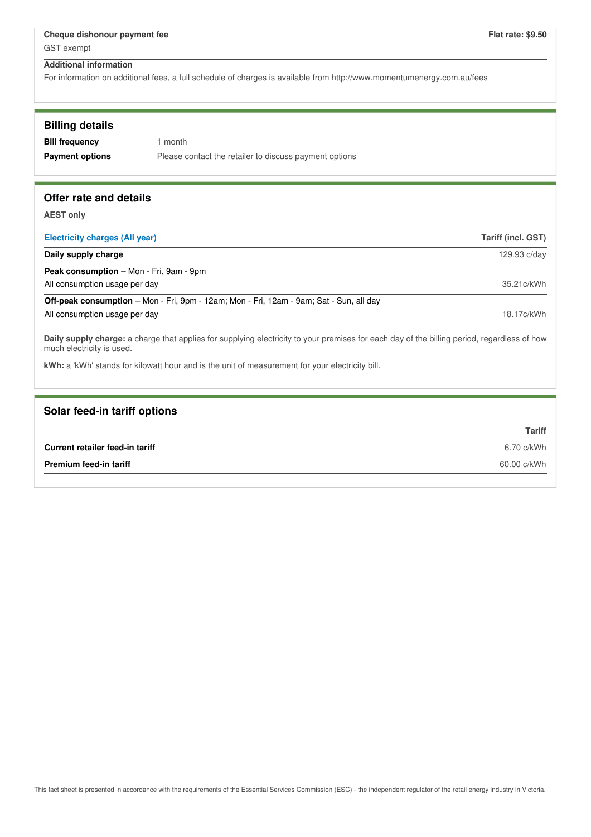For information on additional fees, a full schedule of charges is available from http://www.momentumenergy.com.au/fees

| <b>Billing details</b> |                                                        |
|------------------------|--------------------------------------------------------|
| <b>Bill frequency</b>  | 1 month                                                |
| <b>Payment options</b> | Please contact the retailer to discuss payment options |
|                        |                                                        |
|                        |                                                        |

# **Offer rate and details**

**AEST only**

| Electricity charges (All year)                                                                                                                                           | Tariff (incl. GST) |
|--------------------------------------------------------------------------------------------------------------------------------------------------------------------------|--------------------|
| Daily supply charge                                                                                                                                                      | 129.93 c/day       |
| <b>Peak consumption</b> – Mon - Fri, 9am - 9pm                                                                                                                           |                    |
| All consumption usage per day                                                                                                                                            | 35.21c/kWh         |
| <b>Off-peak consumption</b> – Mon - Fri, 9pm - 12am; Mon - Fri, 12am - 9am; Sat - Sun, all day                                                                           |                    |
| All consumption usage per day                                                                                                                                            | 18.17c/kWh         |
| Daily supply charge: a charge that applies for supplying electricity to your premises for each day of the billing period, regardless of how<br>much electricity is used. |                    |

**kWh:** a 'kWh' stands for kilowatt hour and is the unit of measurement for your electricity bill.

| Solar feed-in tariff options    |               |
|---------------------------------|---------------|
|                                 | <b>Tariff</b> |
| Current retailer feed-in tariff | 6.70 c/kWh    |
| <b>Premium feed-in tariff</b>   | 60.00 c/kWh   |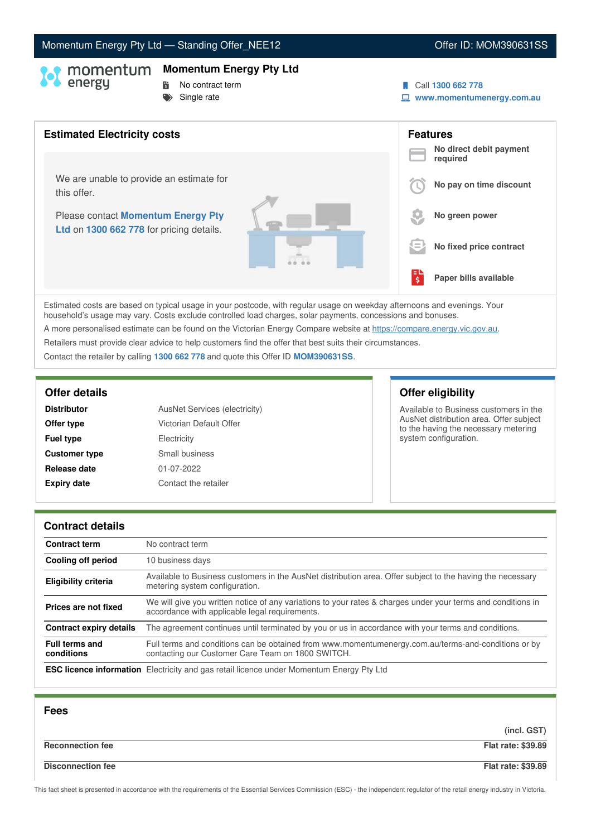# Momentum Energy Pty Ltd - Standing Offer\_NEE12 **Communication Communication** Offer ID: MOM390631SS

### **Momentum Energy Pty Ltd**

- 
- **No contract term**
- $S$ ingle rate
- Call **1300 662 778**
- **www.momentumenergy.com.au**



Estimated costs are based on typical usage in your postcode, with regular usage on weekday afternoons and evenings. Your household's usage may vary. Costs exclude controlled load charges, solar payments, concessions and bonuses.

A more personalised estimate can be found on the Victorian Energy Compare website at <https://compare.energy.vic.gov.au>.

Retailers must provide clear advice to help customers find the offer that best suits their circumstances.

Contact the retailer by calling **1300 662 778** and quote this Offer ID **MOM390631SS**.

| <b>Distributor</b>   | <b>AusNet Services (electricity)</b> |  |
|----------------------|--------------------------------------|--|
| Offer type           | Victorian Default Offer              |  |
| <b>Fuel type</b>     | Electricity                          |  |
| <b>Customer type</b> | Small business                       |  |
| Release date         | 01-07-2022                           |  |
| <b>Expiry date</b>   | Contact the retailer                 |  |

# **Offer details Offer eligibility**

Available to Business customers in the AusNet distribution area. Offer subject to the having the necessary metering system configuration.

### **Contract details**

| <b>Contract term</b>                | No contract term                                                                                                                                               |
|-------------------------------------|----------------------------------------------------------------------------------------------------------------------------------------------------------------|
| Cooling off period                  | 10 business days                                                                                                                                               |
| <b>Eligibility criteria</b>         | Available to Business customers in the AusNet distribution area. Offer subject to the having the necessary<br>metering system configuration.                   |
| Prices are not fixed                | We will give you written notice of any variations to your rates & charges under your terms and conditions in<br>accordance with applicable legal requirements. |
| Contract expiry details             | The agreement continues until terminated by you or us in accordance with your terms and conditions.                                                            |
| <b>Full terms and</b><br>conditions | Full terms and conditions can be obtained from www.momentumenergy.com.au/terms-and-conditions or by<br>contacting our Customer Care Team on 1800 SWITCH.       |
|                                     | <b>ESC licence information</b> Electricity and gas retail licence under Momentum Energy Pty Ltd                                                                |

| <b>Fees</b>              |                           |
|--------------------------|---------------------------|
|                          | (incl. GST)               |
| <b>Reconnection fee</b>  | <b>Flat rate: \$39.89</b> |
| <b>Disconnection fee</b> | <b>Flat rate: \$39.89</b> |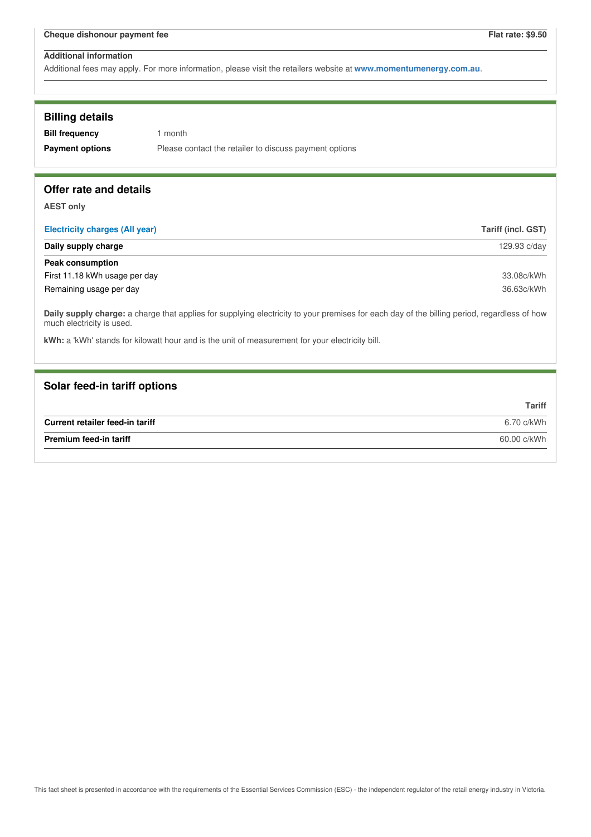Additional fees may apply. For more information, please visit the retailers website at **www.momentumenergy.com.au**.

# **Billing details**

| <b>Bill frequency</b>  | 1 month                                                |
|------------------------|--------------------------------------------------------|
| <b>Payment options</b> | Please contact the retailer to discuss payment options |

# **Offer rate and details**

**AEST only**

| <b>Electricity charges (All year)</b> | Tariff (incl. GST) |
|---------------------------------------|--------------------|
| Daily supply charge                   | 129.93 c/day       |
| Peak consumption                      |                    |
| First 11.18 kWh usage per day         | 33.08c/kWh         |
| Remaining usage per day               | 36.63c/kWh         |

**Daily supply charge:** a charge that applies for supplying electricity to your premises for each day of the billing period, regardless of how much electricity is used.

**kWh:** a 'kWh' stands for kilowatt hour and is the unit of measurement for your electricity bill.

## **Solar feed-in tariff options**

|                                 | Tariff      |
|---------------------------------|-------------|
| Current retailer feed-in tariff | 6.70 c/kWh  |
| <b>Premium feed-in tariff</b>   | 60.00 c/kWh |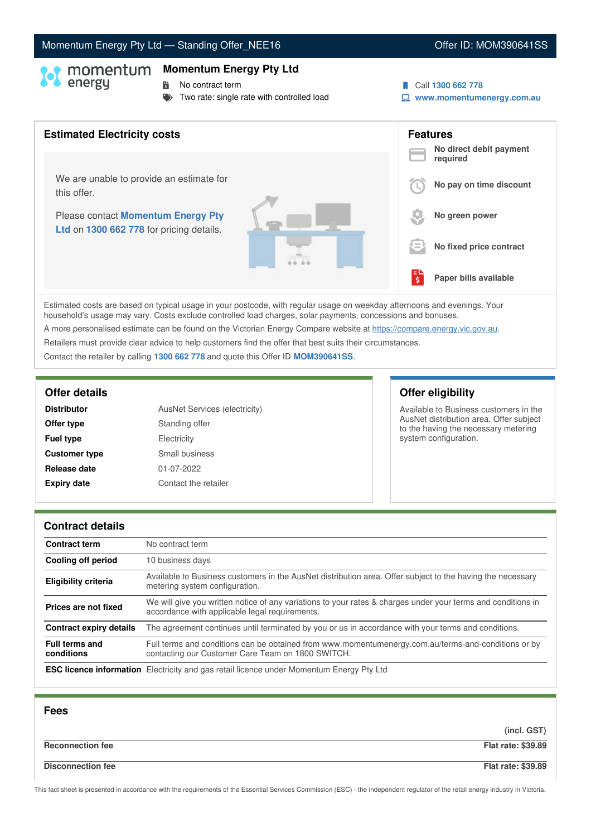### This fact sheet is presented in accordance with the requirements of the Essential Services Commission (ESC) - the independent regulator of the retail energy industry in Victoria.

# Momentum Energy Pty Ltd - Standing Offer\_NEE16 **Communication Communication** Offer ID: MOM390641SS

### **Momentum Energy Pty Ltd**

- **No contract term**
- Two rate: single rate with controlled load
- Call **1300 662 778**
- **www.momentumenergy.com.au**



Estimated costs are based on typical usage in your postcode, with regular usage on weekday afternoons and evenings. Your household's usage may vary. Costs exclude controlled load charges, solar payments, concessions and bonuses. A more personalised estimate can be found on the Victorian Energy Compare website at <https://compare.energy.vic.gov.au>.

Retailers must provide clear advice to help customers find the offer that best suits their circumstances.

Contact the retailer by calling **1300 662 778** and quote this Offer ID **MOM390641SS**.

| <b>Distributor</b>   | AusNet Services (electricity) |
|----------------------|-------------------------------|
| Offer type           | Standing offer                |
| <b>Fuel type</b>     | Electricity                   |
| <b>Customer type</b> | Small business                |
| Release date         | 01-07-2022                    |
| <b>Expiry date</b>   | Contact the retailer          |

# **Offer details Offer eligibility**

Available to Business customers in the AusNet distribution area. Offer subject to the having the necessary metering system configuration.

### **Contract details**

| <b>Contract term</b>                | No contract term                                                                                                                                               |
|-------------------------------------|----------------------------------------------------------------------------------------------------------------------------------------------------------------|
| <b>Cooling off period</b>           | 10 business days                                                                                                                                               |
| <b>Eligibility criteria</b>         | Available to Business customers in the AusNet distribution area. Offer subject to the having the necessary<br>metering system configuration.                   |
| Prices are not fixed                | We will give you written notice of any variations to your rates & charges under your terms and conditions in<br>accordance with applicable legal requirements. |
| <b>Contract expiry details</b>      | The agreement continues until terminated by you or us in accordance with your terms and conditions.                                                            |
| <b>Full terms and</b><br>conditions | Full terms and conditions can be obtained from www.momentumenergy.com.au/terms-and-conditions or by<br>contacting our Customer Care Team on 1800 SWITCH.       |
|                                     | <b>ESC licence information</b> Electricity and gas retail licence under Momentum Energy Pty Ltd                                                                |

| <b>Fees</b>              |                           |
|--------------------------|---------------------------|
|                          | (incl. GST)               |
| <b>Reconnection fee</b>  | <b>Flat rate: \$39.89</b> |
| <b>Disconnection fee</b> | <b>Flat rate: \$39.89</b> |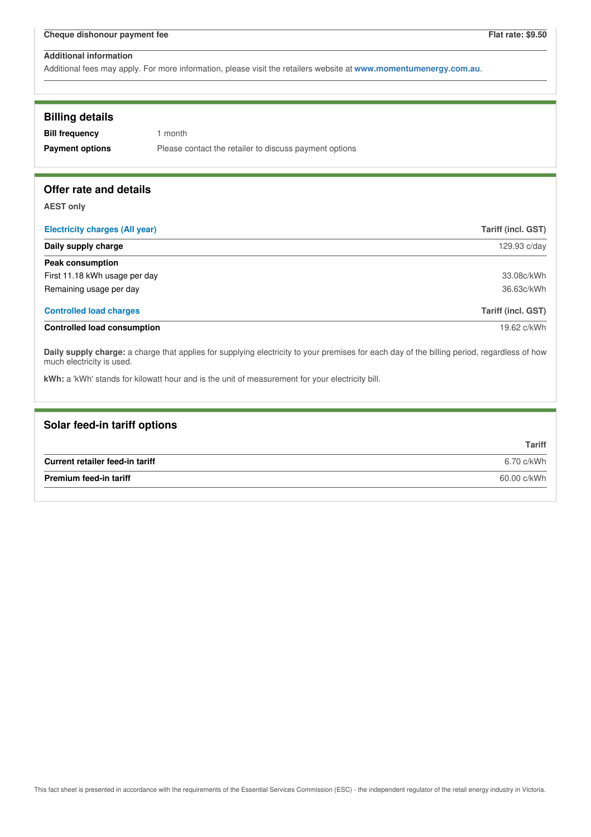| <b>Billing details</b><br><b>Bill frequency</b><br><b>Payment options</b>                                                                                                | 1 month<br>Please contact the retailer to discuss payment options |                    |
|--------------------------------------------------------------------------------------------------------------------------------------------------------------------------|-------------------------------------------------------------------|--------------------|
| Offer rate and details                                                                                                                                                   |                                                                   |                    |
| <b>AEST only</b>                                                                                                                                                         |                                                                   |                    |
| <b>Electricity charges (All year)</b>                                                                                                                                    |                                                                   | Tariff (incl. GST) |
| Daily supply charge<br>129.93 c/day                                                                                                                                      |                                                                   |                    |
| <b>Peak consumption</b>                                                                                                                                                  |                                                                   |                    |
| First 11.18 kWh usage per day                                                                                                                                            |                                                                   | 33.08c/kWh         |
| Remaining usage per day                                                                                                                                                  |                                                                   | 36.63c/kWh         |
| <b>Controlled load charges</b>                                                                                                                                           |                                                                   | Tariff (incl. GST) |
| <b>Controlled load consumption</b>                                                                                                                                       |                                                                   | 19.62 c/kWh        |
| Daily supply charge: a charge that applies for supplying electricity to your premises for each day of the billing period, regardless of how<br>much electricity is used. |                                                                   |                    |
| kWh: a 'kWh' stands for kilowatt hour and is the unit of measurement for your electricity bill.                                                                          |                                                                   |                    |
|                                                                                                                                                                          |                                                                   |                    |

| Solar feed-in tariff options    |               |
|---------------------------------|---------------|
|                                 | <b>Tariff</b> |
| Current retailer feed-in tariff | 6.70 c/kWh    |
| <b>Premium feed-in tariff</b>   | 60.00 c/kWh   |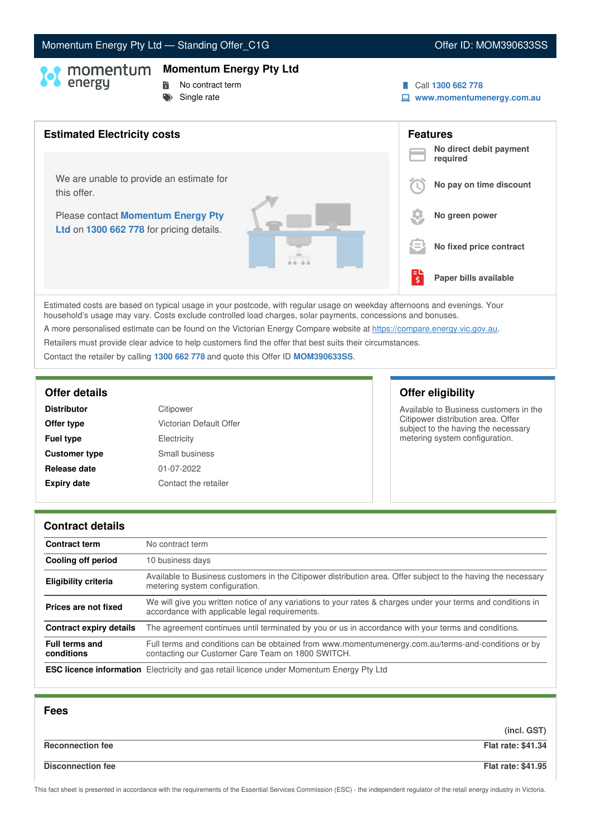# Momentum Energy Pty Ltd - Standing Offer\_C1G **Canadian Control Control Control Control** Control Offer ID: MOM390633SS

## **Momentum Energy Pty Ltd**

- 
- **No contract term**
- $S$ ingle rate
- Call **1300 662 778**
- **www.momentumenergy.com.au**



Estimated costs are based on typical usage in your postcode, with regular usage on weekday afternoons and evenings. Your household's usage may vary. Costs exclude controlled load charges, solar payments, concessions and bonuses. A more personalised estimate can be found on the Victorian Energy Compare website at <https://compare.energy.vic.gov.au>.

Retailers must provide clear advice to help customers find the offer that best suits their circumstances.

Contact the retailer by calling **1300 662 778** and quote this Offer ID **MOM390633SS**.

| <b>Distributor</b>   | Citipower               |
|----------------------|-------------------------|
| Offer type           | Victorian Default Offer |
| <b>Fuel type</b>     | Electricity             |
| <b>Customer type</b> | Small business          |
| Release date         | 01-07-2022              |
| <b>Expiry date</b>   | Contact the retailer    |

# **Offer details Offer eligibility**

Available to Business customers in the Citipower distribution area. Offer subject to the having the necessary metering system configuration.

### **Contract details**

| <b>Contract term</b>                | No contract term                                                                                                                                               |
|-------------------------------------|----------------------------------------------------------------------------------------------------------------------------------------------------------------|
| Cooling off period                  | 10 business days                                                                                                                                               |
| <b>Eligibility criteria</b>         | Available to Business customers in the Citipower distribution area. Offer subject to the having the necessary<br>metering system configuration.                |
| Prices are not fixed                | We will give you written notice of any variations to your rates & charges under your terms and conditions in<br>accordance with applicable legal requirements. |
| Contract expiry details             | The agreement continues until terminated by you or us in accordance with your terms and conditions.                                                            |
| <b>Full terms and</b><br>conditions | Full terms and conditions can be obtained from www.momentumenergy.com.au/terms-and-conditions or by<br>contacting our Customer Care Team on 1800 SWITCH.       |
|                                     | <b>ESC licence information</b> Electricity and gas retail licence under Momentum Energy Pty Ltd                                                                |

| <b>Fees</b>              |                           |
|--------------------------|---------------------------|
|                          | (incl. GST)               |
| <b>Reconnection fee</b>  | <b>Flat rate: \$41.34</b> |
| <b>Disconnection fee</b> | <b>Flat rate: \$41.95</b> |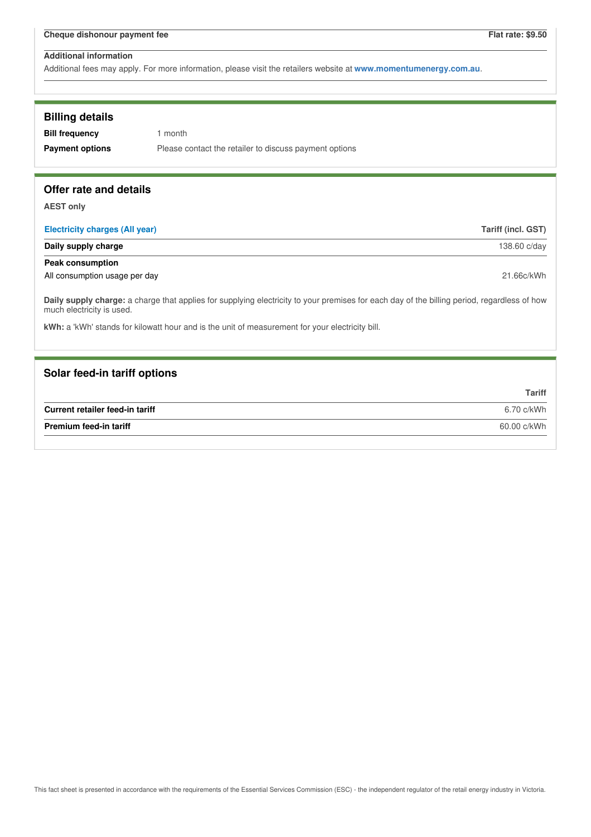| <b>Billing details</b><br><b>Bill frequency</b><br><b>Payment options</b> | 1 month<br>Please contact the retailer to discuss payment options                                                                           |                    |
|---------------------------------------------------------------------------|---------------------------------------------------------------------------------------------------------------------------------------------|--------------------|
| Offer rate and details                                                    |                                                                                                                                             |                    |
| <b>AEST only</b>                                                          |                                                                                                                                             |                    |
| <b>Electricity charges (All year)</b>                                     |                                                                                                                                             | Tariff (incl. GST) |
| Daily supply charge                                                       |                                                                                                                                             | 138.60 c/day       |
| <b>Peak consumption</b>                                                   |                                                                                                                                             |                    |
| All consumption usage per day                                             |                                                                                                                                             | 21.66c/kWh         |
| much electricity is used.                                                 | Daily supply charge: a charge that applies for supplying electricity to your premises for each day of the billing period, regardless of how |                    |
|                                                                           | kWh: a 'kWh' stands for kilowatt hour and is the unit of measurement for your electricity bill.                                             |                    |
|                                                                           |                                                                                                                                             |                    |
| Solar feed-in tariff options                                              |                                                                                                                                             |                    |
|                                                                           |                                                                                                                                             | <b>Tariff</b>      |
| Current retailer feed-in tariff                                           |                                                                                                                                             | 6.70 c/kWh         |
| <b>Premium feed-in tariff</b>                                             |                                                                                                                                             | 60.00 c/kWh        |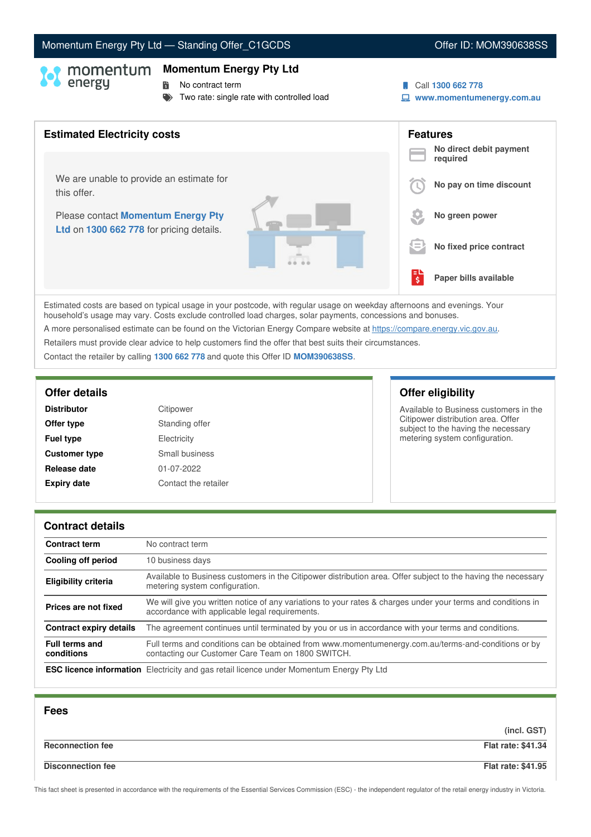### This fact sheet is presented in accordance with the requirements of the Essential Services Commission (ESC) - the independent regulator of the retail energy industry in Victoria.

# Momentum Energy Pty Ltd - Standing Offer\_C1GCDS **Communication Constructs** Offer ID: MOM390638SS

## **Momentum Energy Pty Ltd**

**No contract term** 

Two rate: single rate with controlled load



**www.momentumenergy.com.au**

# **Features No direct debit payment required No pay on time discount No green power No fixed price contract Paper bills available** Estimated costs are based on typical usage in your postcode, with regular usage on weekday afternoons and evenings. Your **Estimated Electricity costs** We are unable to provide an estimate for this offer. Please contact **Momentum Energy Pty Ltd** on **1300 662 778** for pricing details.  $\bm \Theta$  I 詩.

household's usage may vary. Costs exclude controlled load charges, solar payments, concessions and bonuses. A more personalised estimate can be found on the Victorian Energy Compare website at <https://compare.energy.vic.gov.au>. Retailers must provide clear advice to help customers find the offer that best suits their circumstances. Contact the retailer by calling **1300 662 778** and quote this Offer ID **MOM390638SS**.

| <b>Distributor</b>   | Citipower            |
|----------------------|----------------------|
| Offer type           | Standing offer       |
| <b>Fuel type</b>     | Electricity          |
| <b>Customer type</b> | Small business       |
| Release date         | 01-07-2022           |
| <b>Expiry date</b>   | Contact the retailer |

## **Offer details Offer eligibility**

Available to Business customers in the Citipower distribution area. Offer subject to the having the necessary metering system configuration.

### **Contract details**

| <b>Contract term</b>                | No contract term                                                                                                                                               |
|-------------------------------------|----------------------------------------------------------------------------------------------------------------------------------------------------------------|
| <b>Cooling off period</b>           | 10 business days                                                                                                                                               |
| <b>Eligibility criteria</b>         | Available to Business customers in the Citipower distribution area. Offer subject to the having the necessary<br>metering system configuration.                |
| Prices are not fixed                | We will give you written notice of any variations to your rates & charges under your terms and conditions in<br>accordance with applicable legal requirements. |
| <b>Contract expiry details</b>      | The agreement continues until terminated by you or us in accordance with your terms and conditions.                                                            |
| <b>Full terms and</b><br>conditions | Full terms and conditions can be obtained from www.momentumenergy.com.au/terms-and-conditions or by<br>contacting our Customer Care Team on 1800 SWITCH.       |
|                                     | <b>ESC licence information</b> Electricity and gas retail licence under Momentum Energy Pty Ltd                                                                |

| <b>Fees</b>              |                           |
|--------------------------|---------------------------|
|                          | (incl. GST)               |
| <b>Reconnection fee</b>  | <b>Flat rate: \$41.34</b> |
| <b>Disconnection fee</b> | Flat rate: \$41.95        |

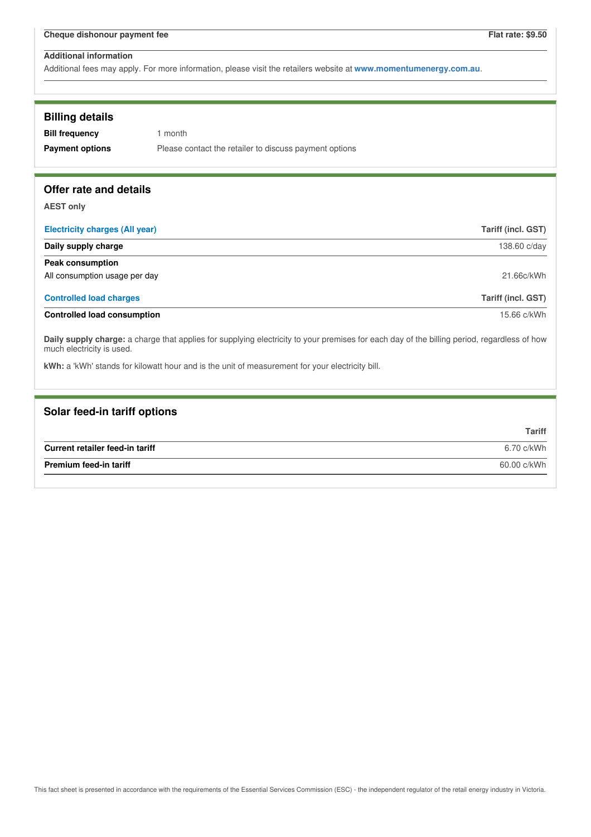| <b>Billing details</b>                                                                                                                                                   |                                                                                                 |                           |
|--------------------------------------------------------------------------------------------------------------------------------------------------------------------------|-------------------------------------------------------------------------------------------------|---------------------------|
| <b>Bill frequency</b>                                                                                                                                                    | 1 month                                                                                         |                           |
| <b>Payment options</b>                                                                                                                                                   | Please contact the retailer to discuss payment options                                          |                           |
|                                                                                                                                                                          |                                                                                                 |                           |
| Offer rate and details                                                                                                                                                   |                                                                                                 |                           |
| <b>AEST only</b>                                                                                                                                                         |                                                                                                 |                           |
| <b>Electricity charges (All year)</b>                                                                                                                                    |                                                                                                 | Tariff (incl. GST)        |
| Daily supply charge                                                                                                                                                      |                                                                                                 | 138.60 c/day              |
| <b>Peak consumption</b>                                                                                                                                                  |                                                                                                 |                           |
| All consumption usage per day                                                                                                                                            |                                                                                                 | 21.66c/kWh                |
| <b>Controlled load charges</b>                                                                                                                                           |                                                                                                 | <b>Tariff (incl. GST)</b> |
| <b>Controlled load consumption</b>                                                                                                                                       |                                                                                                 | 15.66 c/kWh               |
| Daily supply charge: a charge that applies for supplying electricity to your premises for each day of the billing period, regardless of how<br>much electricity is used. |                                                                                                 |                           |
|                                                                                                                                                                          | kWh: a 'kWh' stands for kilowatt hour and is the unit of measurement for your electricity bill. |                           |
|                                                                                                                                                                          |                                                                                                 |                           |

| Solar feed-in tariff options    |               |
|---------------------------------|---------------|
|                                 | <b>Tariff</b> |
| Current retailer feed-in tariff | 6.70 c/kWh    |
| <b>Premium feed-in tariff</b>   | 60.00 c/kWh   |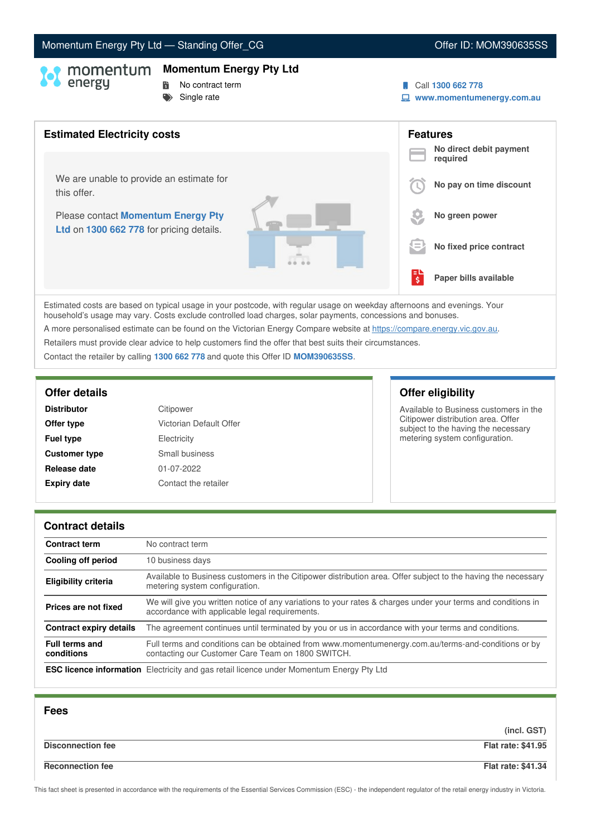# Momentum Energy Pty Ltd - Standing Offer\_CG **COM COFFER 2006** Offer ID: MOM390635SS

## **Momentum Energy Pty Ltd**

- **No contract term**
- $S$ ingle rate
- Call **1300 662 778**
- **www.momentumenergy.com.au**



Estimated costs are based on typical usage in your postcode, with regular usage on weekday afternoons and evenings. Your household's usage may vary. Costs exclude controlled load charges, solar payments, concessions and bonuses. A more personalised estimate can be found on the Victorian Energy Compare website at <https://compare.energy.vic.gov.au>.

Retailers must provide clear advice to help customers find the offer that best suits their circumstances.

Contact the retailer by calling **1300 662 778** and quote this Offer ID **MOM390635SS**.

| <b>Distributor</b>   | Citipower               |
|----------------------|-------------------------|
| Offer type           | Victorian Default Offer |
| <b>Fuel type</b>     | Electricity             |
| <b>Customer type</b> | Small business          |
| Release date         | 01-07-2022              |
| <b>Expiry date</b>   | Contact the retailer    |

# **Offer details Offer eligibility**

Available to Business customers in the Citipower distribution area. Offer subject to the having the necessary metering system configuration.

### **Contract details**

| <b>Contract term</b>                | No contract term                                                                                                                                               |
|-------------------------------------|----------------------------------------------------------------------------------------------------------------------------------------------------------------|
| Cooling off period                  | 10 business days                                                                                                                                               |
| <b>Eligibility criteria</b>         | Available to Business customers in the Citipower distribution area. Offer subject to the having the necessary<br>metering system configuration.                |
| Prices are not fixed                | We will give you written notice of any variations to your rates & charges under your terms and conditions in<br>accordance with applicable legal requirements. |
| <b>Contract expiry details</b>      | The agreement continues until terminated by you or us in accordance with your terms and conditions.                                                            |
| <b>Full terms and</b><br>conditions | Full terms and conditions can be obtained from www.momentumenergy.com.au/terms-and-conditions or by<br>contacting our Customer Care Team on 1800 SWITCH.       |
|                                     | <b>ESC licence information</b> Electricity and gas retail licence under Momentum Energy Pty Ltd                                                                |

| <b>Fees</b>              |                           |
|--------------------------|---------------------------|
|                          | (incl. GST)               |
| <b>Disconnection fee</b> | <b>Flat rate: \$41.95</b> |
| <b>Reconnection fee</b>  | <b>Flat rate: \$41.34</b> |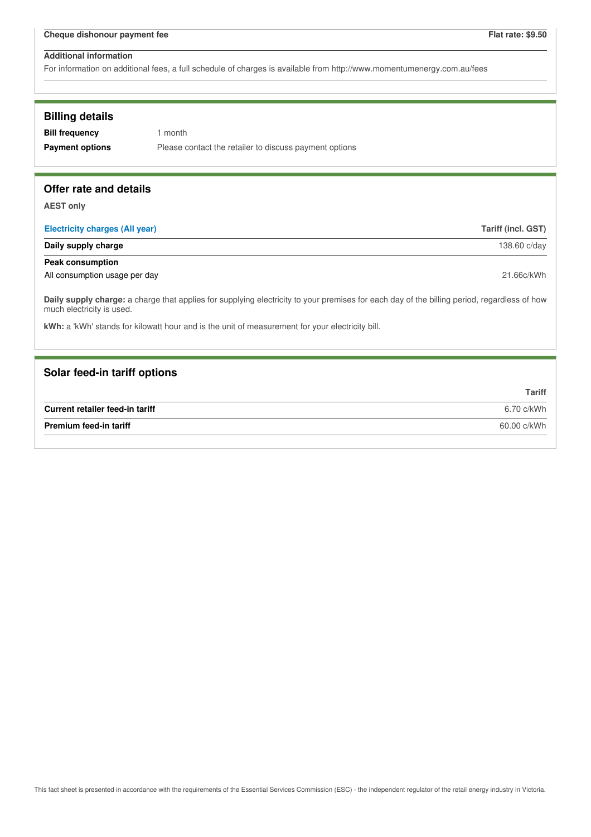For information on additional fees, a full schedule of charges is available from http://www.momentumenergy.com.au/fees

## **Billing details**

**Bill frequency** 1 month **Payment options** Please contact the retailer to discuss payment options

## **Offer rate and details**

**AEST only**

| <b>Electricity charges (All year)</b> | Tariff (incl. GST) |
|---------------------------------------|--------------------|
| Daily supply charge                   | 138.60 c/day       |
| Peak consumption                      |                    |
| All consumption usage per day         | 21.66c/kWh         |

**Daily supply charge:** a charge that applies for supplying electricity to your premises for each day of the billing period, regardless of how much electricity is used.

**kWh:** a 'kWh' stands for kilowatt hour and is the unit of measurement for your electricity bill.

## **Solar feed-in tariff options**

|                                 | Tariff      |
|---------------------------------|-------------|
| Current retailer feed-in tariff | 6.70 c/kWh  |
| <b>Premium feed-in tariff</b>   | 60.00 c/kWh |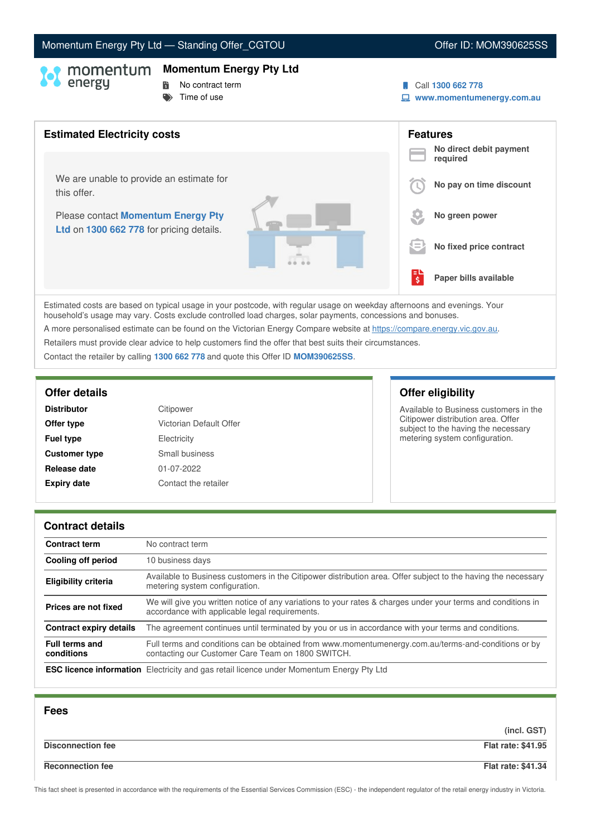# Momentum Energy Pty Ltd - Standing Offer\_CGTOU North Control of the U. MOM390625SS

### **Momentum Energy Pty Ltd**

- 
- **No contract term**  $\blacktriangleright$  Time of use
- 
- Call **1300 662 778**
- **www.momentumenergy.com.au**



Estimated costs are based on typical usage in your postcode, with regular usage on weekday afternoons and evenings. Your household's usage may vary. Costs exclude controlled load charges, solar payments, concessions and bonuses. A more personalised estimate can be found on the Victorian Energy Compare website at <https://compare.energy.vic.gov.au>.

Retailers must provide clear advice to help customers find the offer that best suits their circumstances.

Contact the retailer by calling **1300 662 778** and quote this Offer ID **MOM390625SS**.

| <b>Distributor</b>   | Citipower               |
|----------------------|-------------------------|
| Offer type           | Victorian Default Offer |
| <b>Fuel type</b>     | Electricity             |
| <b>Customer type</b> | Small business          |
| Release date         | 01-07-2022              |
| <b>Expiry date</b>   | Contact the retailer    |

# **Offer details Offer eligibility**

Available to Business customers in the Citipower distribution area. Offer subject to the having the necessary metering system configuration.

### **Contract details**

| <b>Contract term</b>                | No contract term                                                                                                                                               |
|-------------------------------------|----------------------------------------------------------------------------------------------------------------------------------------------------------------|
| Cooling off period                  | 10 business days                                                                                                                                               |
| <b>Eligibility criteria</b>         | Available to Business customers in the Citipower distribution area. Offer subject to the having the necessary<br>metering system configuration.                |
| Prices are not fixed                | We will give you written notice of any variations to your rates & charges under your terms and conditions in<br>accordance with applicable legal requirements. |
| Contract expiry details             | The agreement continues until terminated by you or us in accordance with your terms and conditions.                                                            |
| <b>Full terms and</b><br>conditions | Full terms and conditions can be obtained from www.momentumenergy.com.au/terms-and-conditions or by<br>contacting our Customer Care Team on 1800 SWITCH.       |
|                                     | <b>ESC licence information</b> Electricity and gas retail licence under Momentum Energy Pty Ltd                                                                |

| <b>Fees</b>              |                           |
|--------------------------|---------------------------|
|                          | (incl. GST)               |
| <b>Disconnection fee</b> | <b>Flat rate: \$41.95</b> |
| <b>Reconnection fee</b>  | <b>Flat rate: \$41.34</b> |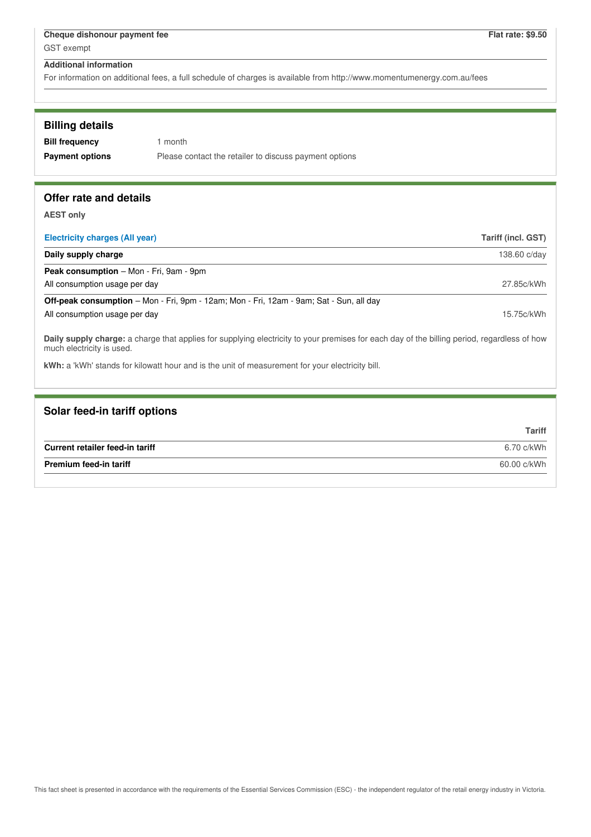For information on additional fees, a full schedule of charges is available from http://www.momentumenergy.com.au/fees

| <b>Billing details</b>                |                                                        |                           |
|---------------------------------------|--------------------------------------------------------|---------------------------|
| <b>Bill frequency</b>                 | month                                                  |                           |
| <b>Payment options</b>                | Please contact the retailer to discuss payment options |                           |
|                                       |                                                        |                           |
| Offer rate and details                |                                                        |                           |
|                                       |                                                        |                           |
| <b>AEST only</b>                      |                                                        |                           |
| <b>Electricity charges (All year)</b> |                                                        | <b>Tariff (incl. GST)</b> |

| Daily supply charge                                                                            | 138.60 c/day |
|------------------------------------------------------------------------------------------------|--------------|
| <b>Peak consumption</b> – Mon - Fri, 9am - 9pm                                                 |              |
| All consumption usage per day                                                                  | 27.85c/kWh   |
| <b>Off-peak consumption</b> – Mon - Fri, 9pm - 12am; Mon - Fri, 12am - 9am; Sat - Sun, all day |              |
| All consumption usage per day                                                                  | 15.75c/kWh   |

**Daily supply charge:** a charge that applies for supplying electricity to your premises for each day of the billing period, regardless of how much electricity is used.

**kWh:** a 'kWh' stands for kilowatt hour and is the unit of measurement for your electricity bill.

| Solar feed-in tariff options    |               |
|---------------------------------|---------------|
|                                 | <b>Tariff</b> |
| Current retailer feed-in tariff | 6.70 c/kWh    |
| Premium feed-in tariff          | 60.00 c/kWh   |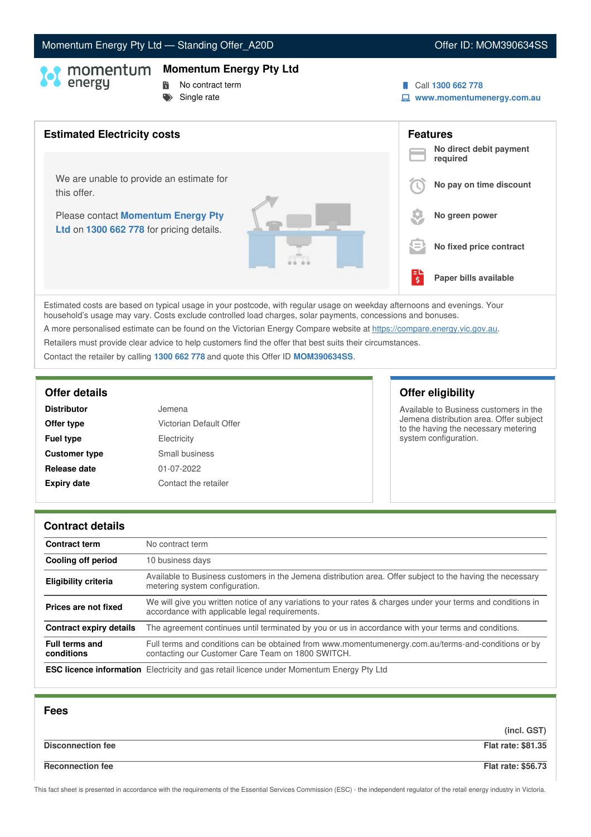# Momentum Energy Pty Ltd - Standing Offer\_A20D **Canadian Control Control Control Control Control Control Control Control Control Control Control Control Control Control Control Control Control Control Control Control Contro**

# **Momentum Energy Pty Ltd**

**No contract term** Single rate

- Call **1300 662 778**
- **www.momentumenergy.com.au**



Estimated costs are based on typical usage in your postcode, with regular usage on weekday afternoons and evenings. Your household's usage may vary. Costs exclude controlled load charges, solar payments, concessions and bonuses. A more personalised estimate can be found on the Victorian Energy Compare website at <https://compare.energy.vic.gov.au>. Retailers must provide clear advice to help customers find the offer that best suits their circumstances.

Contact the retailer by calling **1300 662 778** and quote this Offer ID **MOM390634SS**.

| <b>Distributor</b>   | Jemena                  |
|----------------------|-------------------------|
| Offer type           | Victorian Default Offer |
| <b>Fuel type</b>     | Electricity             |
| <b>Customer type</b> | Small business          |
| Release date         | 01-07-2022              |
| <b>Expiry date</b>   | Contact the retailer    |

# **Offer details Offer eligibility**

Available to Business customers in the Jemena distribution area. Offer subject to the having the necessary metering system configuration.

### **Contract details**

| <b>Contract term</b>                | No contract term                                                                                                                                               |
|-------------------------------------|----------------------------------------------------------------------------------------------------------------------------------------------------------------|
| Cooling off period                  | 10 business days                                                                                                                                               |
| <b>Eligibility criteria</b>         | Available to Business customers in the Jemena distribution area. Offer subject to the having the necessary<br>metering system configuration.                   |
| Prices are not fixed                | We will give you written notice of any variations to your rates & charges under your terms and conditions in<br>accordance with applicable legal requirements. |
| Contract expiry details             | The agreement continues until terminated by you or us in accordance with your terms and conditions.                                                            |
| <b>Full terms and</b><br>conditions | Full terms and conditions can be obtained from www.momentumenergy.com.au/terms-and-conditions or by<br>contacting our Customer Care Team on 1800 SWITCH.       |
|                                     | <b>ESC licence information</b> Electricity and gas retail licence under Momentum Energy Pty Ltd                                                                |

| <b>Fees</b>              |                           |
|--------------------------|---------------------------|
|                          | (incl. GST)               |
| <b>Disconnection fee</b> | <b>Flat rate: \$81.35</b> |
| <b>Reconnection fee</b>  | <b>Flat rate: \$56.73</b> |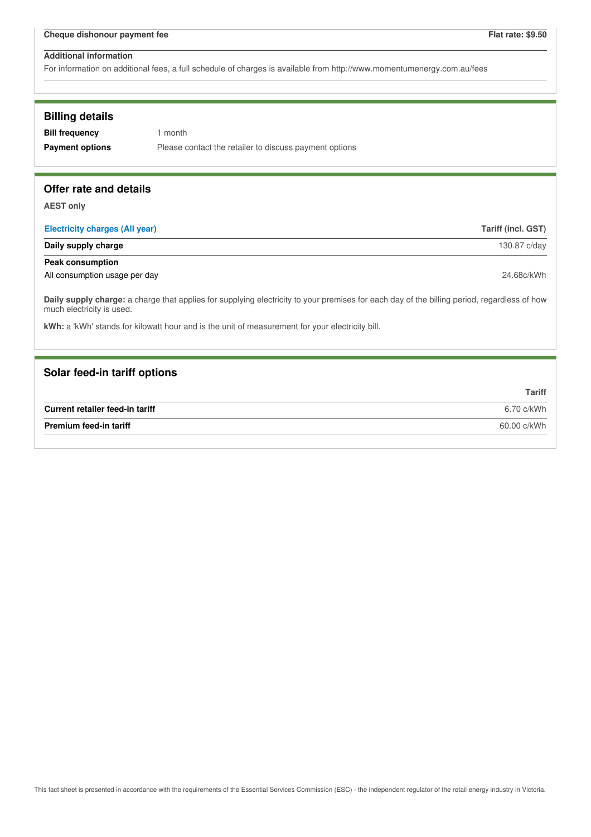For information on additional fees, a full schedule of charges is available from http://www.momentumenergy.com.au/fees

## **Billing details**

**Bill frequency** 1 month **Payment options** Please contact the retailer to discuss payment options

## **Offer rate and details**

**AEST only**

| <b>Electricity charges (All year)</b> | Tariff (incl. GST) |
|---------------------------------------|--------------------|
| Daily supply charge                   | 130.87 c/day       |
| <b>Peak consumption</b>               |                    |
| All consumption usage per day         | 24.68c/kWh         |

**Daily supply charge:** a charge that applies for supplying electricity to your premises for each day of the billing period, regardless of how much electricity is used.

**kWh:** a 'kWh' stands for kilowatt hour and is the unit of measurement for your electricity bill.

## **Solar feed-in tariff options**

|                                 | Tariff      |
|---------------------------------|-------------|
| Current retailer feed-in tariff | 6.70 c/kWh  |
| <b>Premium feed-in tariff</b>   | 60.00 c/kWh |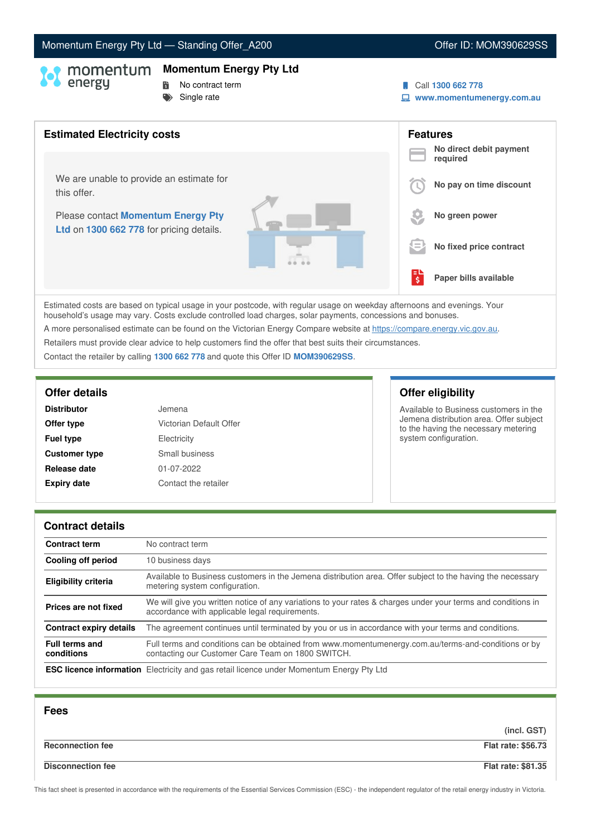# Momentum Energy Pty Ltd - Standing Offer\_A200 **Canadian Control Control Control Control Control Control Control Control Control Control Control Control Control Control Control Control Control Control Control Control Contro**

# **Momentum Energy Pty Ltd**

**No contract term**  $S$ ingle rate

- Call **1300 662 778**
- **www.momentumenergy.com.au**



Estimated costs are based on typical usage in your postcode, with regular usage on weekday afternoons and evenings. Your household's usage may vary. Costs exclude controlled load charges, solar payments, concessions and bonuses. A more personalised estimate can be found on the Victorian Energy Compare website at <https://compare.energy.vic.gov.au>. Retailers must provide clear advice to help customers find the offer that best suits their circumstances.

Contact the retailer by calling **1300 662 778** and quote this Offer ID **MOM390629SS**.

| <b>Distributor</b>   | Jemena                  |
|----------------------|-------------------------|
| Offer type           | Victorian Default Offer |
| <b>Fuel type</b>     | Electricity             |
| <b>Customer type</b> | Small business          |
| Release date         | 01-07-2022              |
| <b>Expiry date</b>   | Contact the retailer    |

# **Offer details Offer eligibility**

Available to Business customers in the Jemena distribution area. Offer subject to the having the necessary metering system configuration.

### **Contract details**

| <b>Contract term</b>                | No contract term                                                                                                                                               |
|-------------------------------------|----------------------------------------------------------------------------------------------------------------------------------------------------------------|
| Cooling off period                  | 10 business days                                                                                                                                               |
| <b>Eligibility criteria</b>         | Available to Business customers in the Jemena distribution area. Offer subject to the having the necessary<br>metering system configuration.                   |
| Prices are not fixed                | We will give you written notice of any variations to your rates & charges under your terms and conditions in<br>accordance with applicable legal requirements. |
| <b>Contract expiry details</b>      | The agreement continues until terminated by you or us in accordance with your terms and conditions.                                                            |
| <b>Full terms and</b><br>conditions | Full terms and conditions can be obtained from www.momentumenergy.com.au/terms-and-conditions or by<br>contacting our Customer Care Team on 1800 SWITCH.       |
|                                     | <b>ESC licence information</b> Electricity and gas retail licence under Momentum Energy Pty Ltd                                                                |

| <b>Fees</b>              |                           |
|--------------------------|---------------------------|
|                          | (incl. GST)               |
| <b>Reconnection fee</b>  | <b>Flat rate: \$56.73</b> |
| <b>Disconnection fee</b> | <b>Flat rate: \$81.35</b> |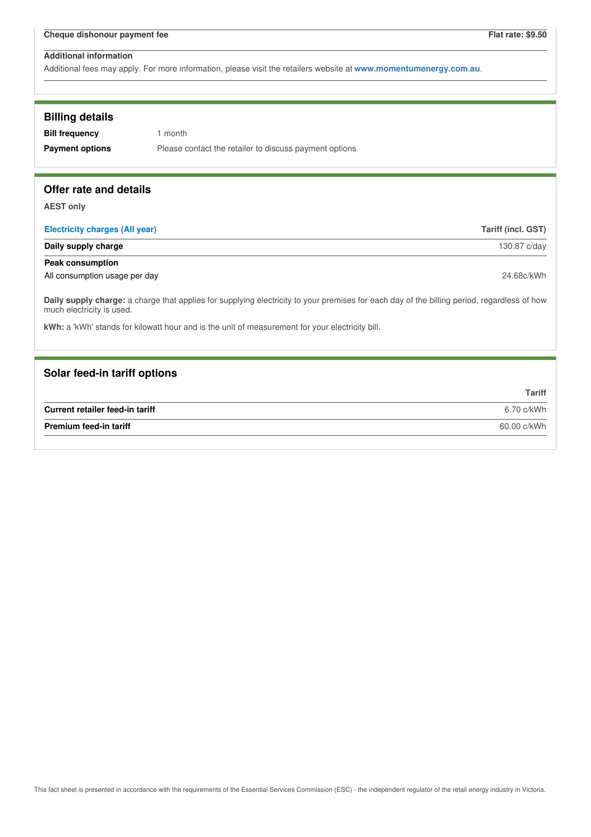| <b>Billing details</b><br><b>Bill frequency</b><br><b>Payment options</b> | 1 month<br>Please contact the retailer to discuss payment options                                                                           |                    |
|---------------------------------------------------------------------------|---------------------------------------------------------------------------------------------------------------------------------------------|--------------------|
| Offer rate and details                                                    |                                                                                                                                             |                    |
| <b>AEST only</b>                                                          |                                                                                                                                             |                    |
| <b>Electricity charges (All year)</b>                                     |                                                                                                                                             | Tariff (incl. GST) |
| Daily supply charge                                                       |                                                                                                                                             | 130.87 c/day       |
| <b>Peak consumption</b>                                                   |                                                                                                                                             |                    |
| All consumption usage per day                                             |                                                                                                                                             | 24.68c/kWh         |
| much electricity is used.                                                 | Daily supply charge: a charge that applies for supplying electricity to your premises for each day of the billing period, regardless of how |                    |
|                                                                           | kWh: a 'kWh' stands for kilowatt hour and is the unit of measurement for your electricity bill.                                             |                    |
|                                                                           |                                                                                                                                             |                    |
| Solar feed-in tariff options                                              |                                                                                                                                             |                    |
|                                                                           |                                                                                                                                             | <b>Tariff</b>      |
| Current retailer feed-in tariff                                           |                                                                                                                                             | 6.70 c/kWh         |
|                                                                           | 60.00 c/kWh<br>Premium feed-in tariff                                                                                                       |                    |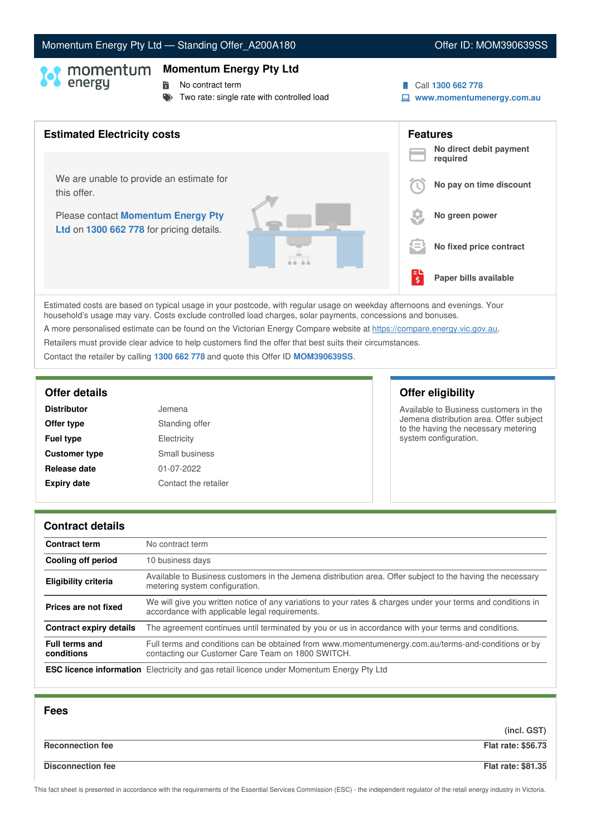**Momentum Energy Pty Ltd**

Two rate: single rate with controlled load

**No contract term** 

Estimated costs are based on typical usage in your postcode, with regular usage on weekday afternoons and evenings. Your household's usage may vary. Costs exclude controlled load charges, solar payments, concessions and bonuses. A more personalised estimate can be found on the Victorian Energy Compare website at <https://compare.energy.vic.gov.au>. Retailers must provide clear advice to help customers find the offer that best suits their circumstances. Contact the retailer by calling **1300 662 778** and quote this Offer ID **MOM390639SS**.

| <b>Distributor</b>   | Jemena               |
|----------------------|----------------------|
| Offer type           | Standing offer       |
| <b>Fuel type</b>     | Electricity          |
| <b>Customer type</b> | Small business       |
| Release date         | 01-07-2022           |
| <b>Expiry date</b>   | Contact the retailer |

# **Offer details Offer eligibility**

Available to Business customers in the Jemena distribution area. Offer subject to the having the necessary metering system configuration.

### **Contract details**

| <b>Contract term</b>                | No contract term                                                                                                                                               |
|-------------------------------------|----------------------------------------------------------------------------------------------------------------------------------------------------------------|
| Cooling off period                  | 10 business days                                                                                                                                               |
| <b>Eligibility criteria</b>         | Available to Business customers in the Jemena distribution area. Offer subject to the having the necessary<br>metering system configuration.                   |
| Prices are not fixed                | We will give you written notice of any variations to your rates & charges under your terms and conditions in<br>accordance with applicable legal requirements. |
| <b>Contract expiry details</b>      | The agreement continues until terminated by you or us in accordance with your terms and conditions.                                                            |
| <b>Full terms and</b><br>conditions | Full terms and conditions can be obtained from www.momentumenergy.com.au/terms-and-conditions or by<br>contacting our Customer Care Team on 1800 SWITCH.       |
|                                     | <b>ESC licence information</b> Electricity and gas retail licence under Momentum Energy Pty Ltd                                                                |

| <b>Fees</b>              |                           |
|--------------------------|---------------------------|
|                          | (incl. GST)               |
| <b>Reconnection fee</b>  | <b>Flat rate: \$56.73</b> |
| <b>Disconnection fee</b> | <b>Flat rate: \$81.35</b> |

This fact sheet is presented in accordance with the requirements of the Essential Services Commission (ESC) - the independent regulator of the retail energy industry in Victoria.

## Momentum Energy Pty Ltd - Standing Offer\_A200A180 **Canadian Control Control Control Control Control Control Control Control Control Control Control Control Control Control Control Control Control Control Control Control Co**

Call **1300 662 778**

**www.momentumenergy.com.au**

| <b>Estimated Electricity costs</b>                                             |    | <b>Features</b><br>No direct debit payment<br>required |
|--------------------------------------------------------------------------------|----|--------------------------------------------------------|
| We are unable to provide an estimate for<br>this offer.                        |    | No pay on time discount                                |
| Please contact Momentum Energy Pty<br>Ltd on 1300 662 778 for pricing details. |    | No green power                                         |
|                                                                                | 9≡ | No fixed price contract                                |
|                                                                                | 럏  | Paper bills available                                  |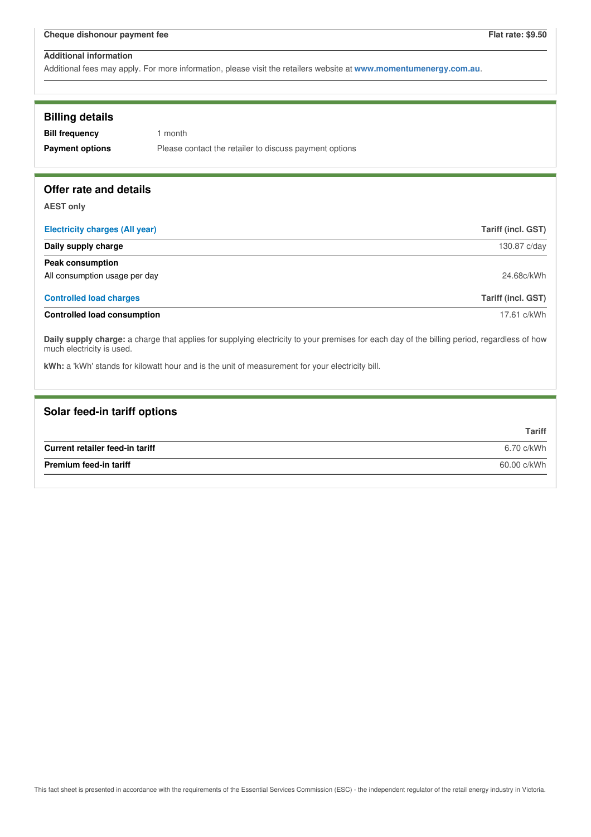| <b>Billing details</b>                                                                                                                                                   |                                                                                                 |
|--------------------------------------------------------------------------------------------------------------------------------------------------------------------------|-------------------------------------------------------------------------------------------------|
| <b>Bill frequency</b>                                                                                                                                                    | 1 month                                                                                         |
| <b>Payment options</b>                                                                                                                                                   | Please contact the retailer to discuss payment options                                          |
|                                                                                                                                                                          |                                                                                                 |
| Offer rate and details                                                                                                                                                   |                                                                                                 |
|                                                                                                                                                                          |                                                                                                 |
| <b>AEST only</b>                                                                                                                                                         |                                                                                                 |
| <b>Electricity charges (All year)</b>                                                                                                                                    | <b>Tariff (incl. GST)</b>                                                                       |
| Daily supply charge                                                                                                                                                      | 130.87 c/day                                                                                    |
| <b>Peak consumption</b>                                                                                                                                                  |                                                                                                 |
| All consumption usage per day                                                                                                                                            | 24.68c/kWh                                                                                      |
| <b>Controlled load charges</b>                                                                                                                                           | Tariff (incl. GST)                                                                              |
| <b>Controlled load consumption</b>                                                                                                                                       | 17.61 c/kWh                                                                                     |
| Daily supply charge: a charge that applies for supplying electricity to your premises for each day of the billing period, regardless of how<br>much electricity is used. |                                                                                                 |
|                                                                                                                                                                          | kWh: a 'kWh' stands for kilowatt hour and is the unit of measurement for your electricity bill. |
|                                                                                                                                                                          |                                                                                                 |

| Solar feed-in tariff options    |               |
|---------------------------------|---------------|
|                                 | <b>Tariff</b> |
| Current retailer feed-in tariff | 6.70 c/kWh    |
| <b>Premium feed-in tariff</b>   | 60.00 c/kWh   |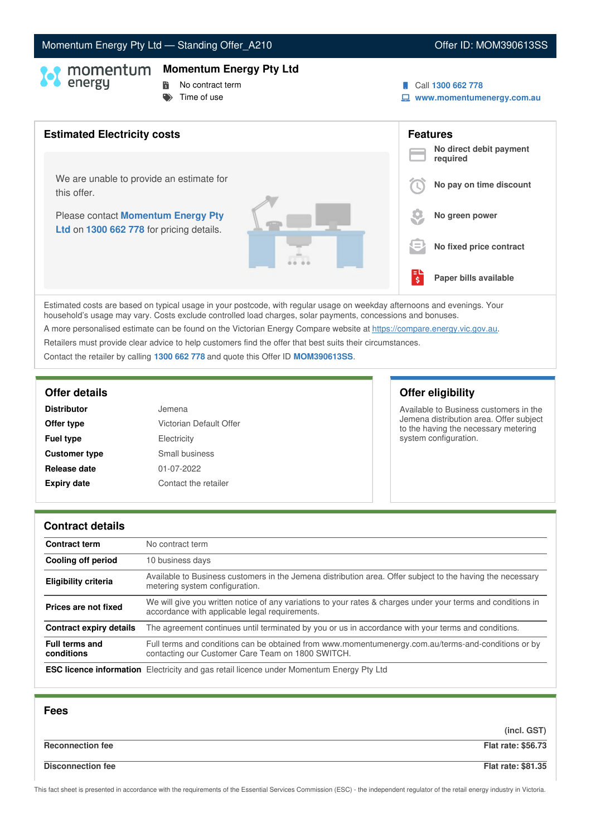# Momentum Energy Pty Ltd - Standing Offer\_A210 **Canadian Control Control Control Control Control Control Control Control Control Control Control Control Control Control Control Control Control Control Control Control Contro**

### **Momentum Energy Pty Ltd**

- 
- **No contract term**
- $\blacktriangleright$  Time of use
- Call **1300 662 778**
- **www.momentumenergy.com.au**



Estimated costs are based on typical usage in your postcode, with regular usage on weekday afternoons and evenings. Your household's usage may vary. Costs exclude controlled load charges, solar payments, concessions and bonuses.

A more personalised estimate can be found on the Victorian Energy Compare website at <https://compare.energy.vic.gov.au>.

Retailers must provide clear advice to help customers find the offer that best suits their circumstances.

Contact the retailer by calling **1300 662 778** and quote this Offer ID **MOM390613SS**.

| <b>Distributor</b>   | Jemena                  |
|----------------------|-------------------------|
| Offer type           | Victorian Default Offer |
| <b>Fuel type</b>     | Electricity             |
| <b>Customer type</b> | Small business          |
| Release date         | 01-07-2022              |
| <b>Expiry date</b>   | Contact the retailer    |

# **Offer details Offer eligibility**

Available to Business customers in the Jemena distribution area. Offer subject to the having the necessary metering system configuration.

### **Contract details**

| <b>Contract term</b>                | No contract term                                                                                                                                               |
|-------------------------------------|----------------------------------------------------------------------------------------------------------------------------------------------------------------|
| Cooling off period                  | 10 business days                                                                                                                                               |
| <b>Eligibility criteria</b>         | Available to Business customers in the Jemena distribution area. Offer subject to the having the necessary<br>metering system configuration.                   |
| Prices are not fixed                | We will give you written notice of any variations to your rates & charges under your terms and conditions in<br>accordance with applicable legal requirements. |
| <b>Contract expiry details</b>      | The agreement continues until terminated by you or us in accordance with your terms and conditions.                                                            |
| <b>Full terms and</b><br>conditions | Full terms and conditions can be obtained from www.momentumenergy.com.au/terms-and-conditions or by<br>contacting our Customer Care Team on 1800 SWITCH.       |
|                                     | <b>ESC licence information</b> Electricity and gas retail licence under Momentum Energy Pty Ltd                                                                |

| <b>Fees</b>              |                           |
|--------------------------|---------------------------|
|                          | (incl. GST)               |
| <b>Reconnection fee</b>  | <b>Flat rate: \$56.73</b> |
| <b>Disconnection fee</b> | <b>Flat rate: \$81.35</b> |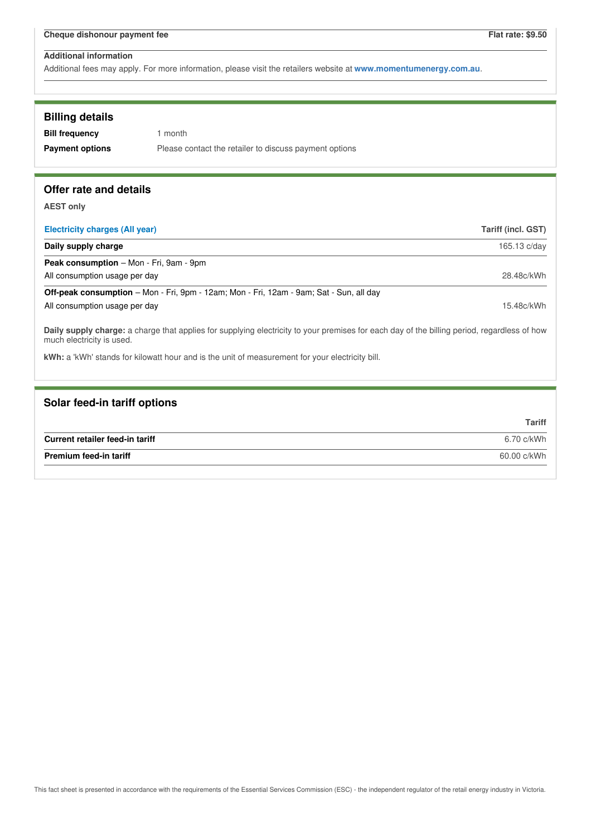| <b>Billing details</b><br><b>Bill frequency</b><br><b>Payment options</b>                                                                                                | 1 month<br>Please contact the retailer to discuss payment options                              |                           |
|--------------------------------------------------------------------------------------------------------------------------------------------------------------------------|------------------------------------------------------------------------------------------------|---------------------------|
| Offer rate and details                                                                                                                                                   |                                                                                                |                           |
| <b>AEST only</b>                                                                                                                                                         |                                                                                                |                           |
| <b>Electricity charges (All year)</b>                                                                                                                                    |                                                                                                | <b>Tariff (incl. GST)</b> |
| Daily supply charge                                                                                                                                                      |                                                                                                | 165.13 c/day              |
| Peak consumption - Mon - Fri, 9am - 9pm                                                                                                                                  |                                                                                                |                           |
| All consumption usage per day                                                                                                                                            |                                                                                                | 28.48c/kWh                |
|                                                                                                                                                                          | <b>Off-peak consumption</b> – Mon - Fri, 9pm - 12am; Mon - Fri, 12am - 9am; Sat - Sun, all day |                           |
| All consumption usage per day                                                                                                                                            |                                                                                                | 15.48c/kWh                |
| Daily supply charge: a charge that applies for supplying electricity to your premises for each day of the billing period, regardless of how<br>much electricity is used. |                                                                                                |                           |
| kWh: a 'kWh' stands for kilowatt hour and is the unit of measurement for your electricity bill.                                                                          |                                                                                                |                           |
|                                                                                                                                                                          |                                                                                                |                           |
| Solar feed-in tariff options                                                                                                                                             |                                                                                                |                           |
|                                                                                                                                                                          |                                                                                                | <b>Tariff</b>             |

|                                 | .           |
|---------------------------------|-------------|
| Current retailer feed-in tariff | 6.70 c/kWh  |
| Premium feed-in tariff          | 60.00 c/kWh |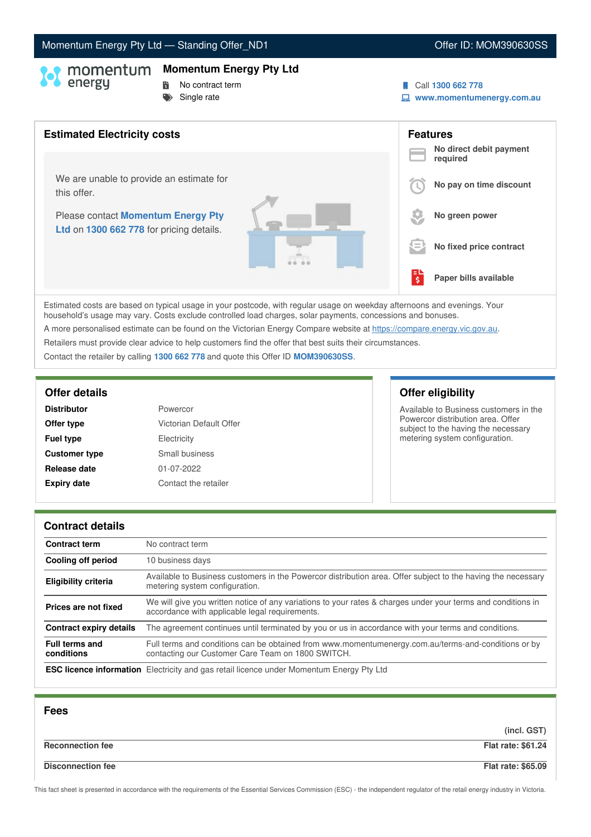# Momentum Energy Pty Ltd - Standing Offer\_ND1 Content Content Content ID: MOM390630SS

### **Momentum Energy Pty Ltd**

- 
- **No contract term**
- $S$ ingle rate
- Call **1300 662 778**
- **www.momentumenergy.com.au**



Estimated costs are based on typical usage in your postcode, with regular usage on weekday afternoons and evenings. Your household's usage may vary. Costs exclude controlled load charges, solar payments, concessions and bonuses. A more personalised estimate can be found on the Victorian Energy Compare website at <https://compare.energy.vic.gov.au>.

Retailers must provide clear advice to help customers find the offer that best suits their circumstances.

Contact the retailer by calling **1300 662 778** and quote this Offer ID **MOM390630SS**.

| <b>Distributor</b>   | Powercor                |
|----------------------|-------------------------|
| Offer type           | Victorian Default Offer |
| <b>Fuel type</b>     | Electricity             |
| <b>Customer type</b> | Small business          |
| Release date         | 01-07-2022              |
| <b>Expiry date</b>   | Contact the retailer    |

# **Offer details Offer eligibility**

Available to Business customers in the Powercor distribution area. Offer subject to the having the necessary metering system configuration.

### **Contract details**

| <b>Contract term</b>                | No contract term                                                                                                                                               |
|-------------------------------------|----------------------------------------------------------------------------------------------------------------------------------------------------------------|
| Cooling off period                  | 10 business days                                                                                                                                               |
| <b>Eligibility criteria</b>         | Available to Business customers in the Powercor distribution area. Offer subject to the having the necessary<br>metering system configuration.                 |
| Prices are not fixed                | We will give you written notice of any variations to your rates & charges under your terms and conditions in<br>accordance with applicable legal requirements. |
| Contract expiry details             | The agreement continues until terminated by you or us in accordance with your terms and conditions.                                                            |
| <b>Full terms and</b><br>conditions | Full terms and conditions can be obtained from www.momentumenergy.com.au/terms-and-conditions or by<br>contacting our Customer Care Team on 1800 SWITCH.       |
|                                     | <b>ESC licence information</b> Electricity and gas retail licence under Momentum Energy Pty Ltd                                                                |

| <b>Fees</b>              |                           |
|--------------------------|---------------------------|
|                          | (incl. GST)               |
| <b>Reconnection fee</b>  | <b>Flat rate: \$61.24</b> |
| <b>Disconnection fee</b> | <b>Flat rate: \$65.09</b> |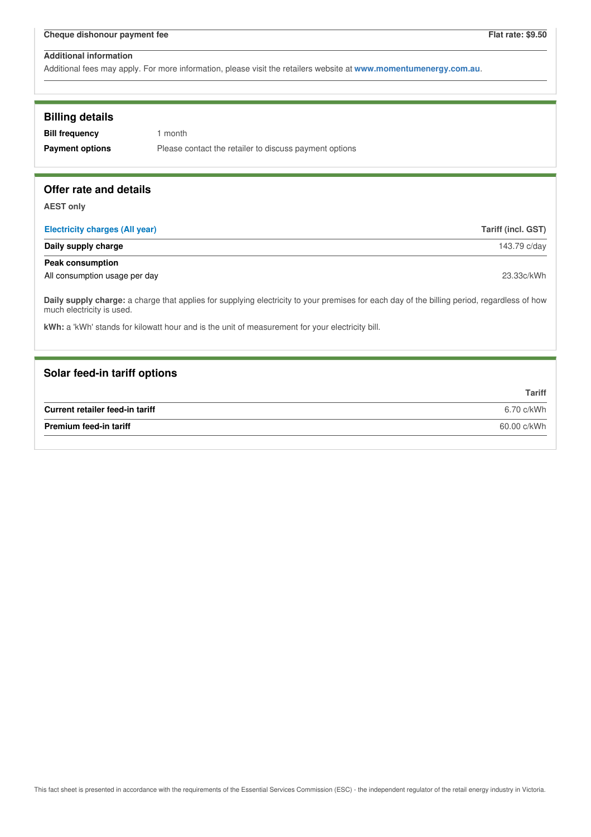| <b>Billing details</b><br><b>Bill frequency</b><br><b>Payment options</b> | 1 month<br>Please contact the retailer to discuss payment options                                                                           |                    |
|---------------------------------------------------------------------------|---------------------------------------------------------------------------------------------------------------------------------------------|--------------------|
| Offer rate and details                                                    |                                                                                                                                             |                    |
| <b>AEST only</b>                                                          |                                                                                                                                             |                    |
| <b>Electricity charges (All year)</b>                                     |                                                                                                                                             | Tariff (incl. GST) |
| Daily supply charge                                                       |                                                                                                                                             | 143.79 c/day       |
| <b>Peak consumption</b>                                                   |                                                                                                                                             |                    |
| All consumption usage per day                                             |                                                                                                                                             | 23.33c/kWh         |
| much electricity is used.                                                 | Daily supply charge: a charge that applies for supplying electricity to your premises for each day of the billing period, regardless of how |                    |
|                                                                           | kWh: a 'kWh' stands for kilowatt hour and is the unit of measurement for your electricity bill.                                             |                    |
|                                                                           |                                                                                                                                             |                    |
| Solar feed-in tariff options                                              |                                                                                                                                             |                    |
|                                                                           |                                                                                                                                             | <b>Tariff</b>      |
| Current retailer feed-in tariff                                           |                                                                                                                                             | 6.70 c/kWh         |
| <b>Premium feed-in tariff</b>                                             |                                                                                                                                             | 60.00 c/kWh        |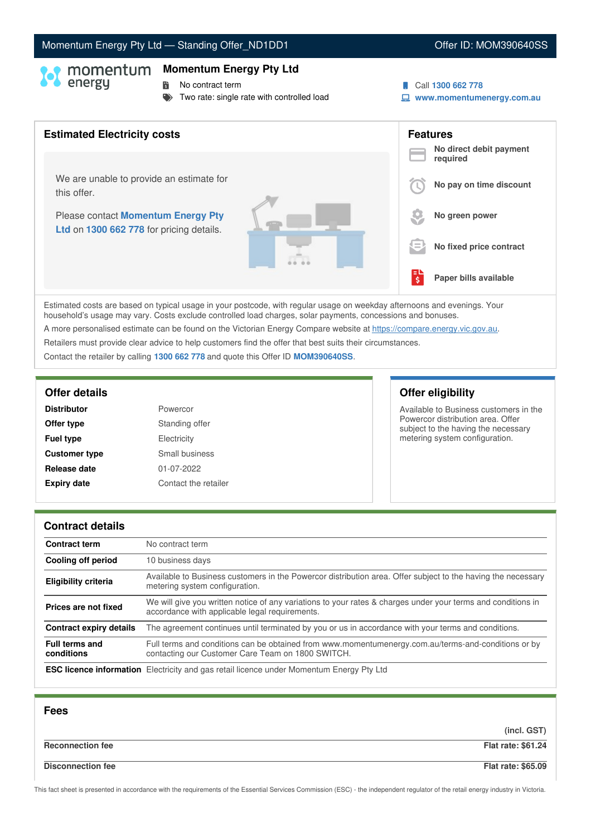### This fact sheet is presented in accordance with the requirements of the Essential Services Commission (ESC) - the independent regulator of the retail energy industry in Victoria.

# Momentum Energy Pty Ltd - Standing Offer\_ND1DD1 Offer ID: MOM390640SS

## **Momentum Energy Pty Ltd**

**No contract term** 

Two rate: single rate with controlled load



**www.momentumenergy.com.au**

# **Features No direct debit payment required No pay on time discount No green power No fixed price contract Paper bills available** Estimated costs are based on typical usage in your postcode, with regular usage on weekday afternoons and evenings. Your **Estimated Electricity costs** We are unable to provide an estimate for this offer. Please contact **Momentum Energy Pty Ltd** on **1300 662 778** for pricing details.  $\bm \Theta$  I 詩.

household's usage may vary. Costs exclude controlled load charges, solar payments, concessions and bonuses. A more personalised estimate can be found on the Victorian Energy Compare website at <https://compare.energy.vic.gov.au>. Retailers must provide clear advice to help customers find the offer that best suits their circumstances.

Contact the retailer by calling **1300 662 778** and quote this Offer ID **MOM390640SS**.

| Powercor             |
|----------------------|
| Standing offer       |
| Electricity          |
| Small business       |
| 01-07-2022           |
| Contact the retailer |
|                      |

# **Offer details Offer eligibility**

Available to Business customers in the Powercor distribution area. Offer subject to the having the necessary metering system configuration.

### **Contract details**

| <b>Contract term</b>                | No contract term                                                                                                                                               |
|-------------------------------------|----------------------------------------------------------------------------------------------------------------------------------------------------------------|
| <b>Cooling off period</b>           | 10 business days                                                                                                                                               |
| <b>Eligibility criteria</b>         | Available to Business customers in the Powercor distribution area. Offer subject to the having the necessary<br>metering system configuration.                 |
| Prices are not fixed                | We will give you written notice of any variations to your rates & charges under your terms and conditions in<br>accordance with applicable legal requirements. |
| <b>Contract expiry details</b>      | The agreement continues until terminated by you or us in accordance with your terms and conditions.                                                            |
| <b>Full terms and</b><br>conditions | Full terms and conditions can be obtained from www.momentumenergy.com.au/terms-and-conditions or by<br>contacting our Customer Care Team on 1800 SWITCH.       |
|                                     | <b>ESC licence information</b> Electricity and gas retail licence under Momentum Energy Pty Ltd                                                                |

| <b>Fees</b>              |                           |
|--------------------------|---------------------------|
|                          | (incl. GST)               |
| <b>Reconnection fee</b>  | <b>Flat rate: \$61.24</b> |
| <b>Disconnection fee</b> | <b>Flat rate: \$65.09</b> |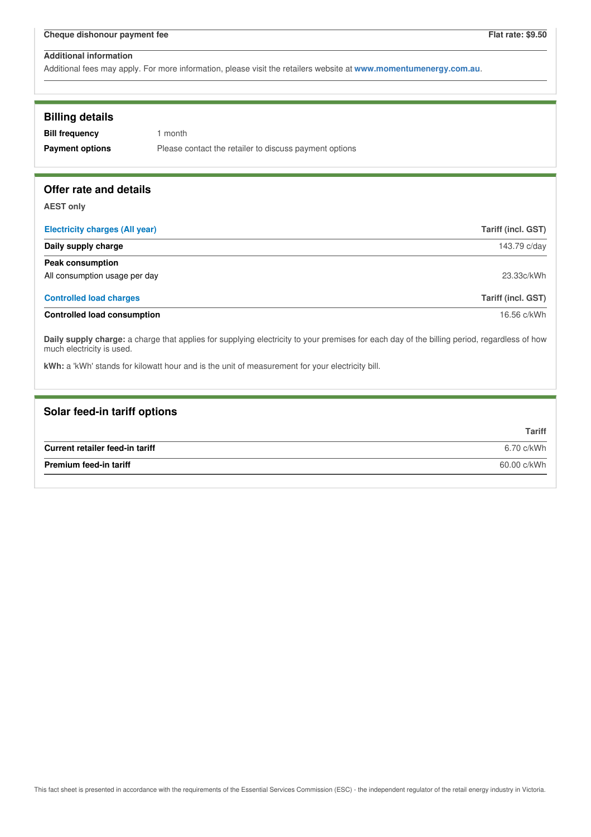| <b>Billing details</b>                                                                                                                                                                                                                                                      |                                                        |
|-----------------------------------------------------------------------------------------------------------------------------------------------------------------------------------------------------------------------------------------------------------------------------|--------------------------------------------------------|
| <b>Bill frequency</b>                                                                                                                                                                                                                                                       | 1 month                                                |
| <b>Payment options</b>                                                                                                                                                                                                                                                      | Please contact the retailer to discuss payment options |
|                                                                                                                                                                                                                                                                             |                                                        |
| Offer rate and details                                                                                                                                                                                                                                                      |                                                        |
|                                                                                                                                                                                                                                                                             |                                                        |
| <b>AEST only</b>                                                                                                                                                                                                                                                            |                                                        |
| <b>Electricity charges (All year)</b>                                                                                                                                                                                                                                       | Tariff (incl. GST)                                     |
| Daily supply charge                                                                                                                                                                                                                                                         | 143.79 c/day                                           |
| <b>Peak consumption</b>                                                                                                                                                                                                                                                     |                                                        |
| All consumption usage per day                                                                                                                                                                                                                                               | 23.33c/kWh                                             |
| <b>Controlled load charges</b>                                                                                                                                                                                                                                              | Tariff (incl. GST)                                     |
| <b>Controlled load consumption</b>                                                                                                                                                                                                                                          | 16.56 c/kWh                                            |
| Daily supply charge: a charge that applies for supplying electricity to your premises for each day of the billing period, regardless of how<br>much electricity is used.<br>kWh: a 'kWh' stands for kilowatt hour and is the unit of measurement for your electricity bill. |                                                        |

| Solar feed-in tariff options    |               |
|---------------------------------|---------------|
|                                 | <b>Tariff</b> |
| Current retailer feed-in tariff | 6.70 c/kWh    |
| <b>Premium feed-in tariff</b>   | 60.00 c/kWh   |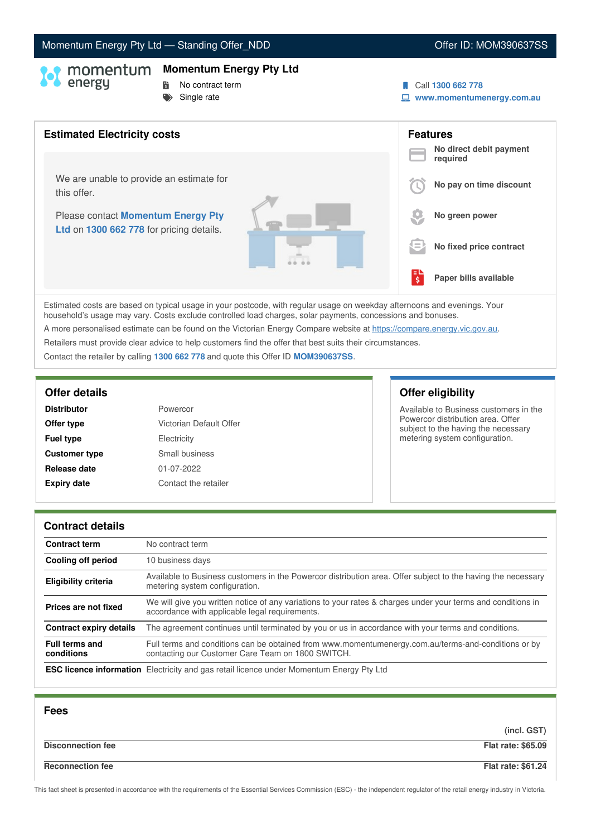# Momentum Energy Pty Ltd - Standing Offer\_NDD **Canadian Control Control Control Control Control Control Control Control Control Control Control Control Control Control Control Control Control Control Control Control Control**

### **Momentum Energy Pty Ltd**

- 
- **No contract term**
- $S$ ingle rate
- Call **1300 662 778**
- **www.momentumenergy.com.au**



Estimated costs are based on typical usage in your postcode, with regular usage on weekday afternoons and evenings. Your household's usage may vary. Costs exclude controlled load charges, solar payments, concessions and bonuses. A more personalised estimate can be found on the Victorian Energy Compare website at <https://compare.energy.vic.gov.au>.

Retailers must provide clear advice to help customers find the offer that best suits their circumstances.

Contact the retailer by calling **1300 662 778** and quote this Offer ID **MOM390637SS**.

| <b>Distributor</b>   | Powercor                |
|----------------------|-------------------------|
| Offer type           | Victorian Default Offer |
| <b>Fuel type</b>     | Electricity             |
| <b>Customer type</b> | Small business          |
| Release date         | 01-07-2022              |
| <b>Expiry date</b>   | Contact the retailer    |

# **Offer details Offer eligibility**

Available to Business customers in the Powercor distribution area. Offer subject to the having the necessary metering system configuration.

### **Contract details**

| <b>Contract term</b>                | No contract term                                                                                                                                               |
|-------------------------------------|----------------------------------------------------------------------------------------------------------------------------------------------------------------|
| Cooling off period                  | 10 business days                                                                                                                                               |
| <b>Eligibility criteria</b>         | Available to Business customers in the Powercor distribution area. Offer subject to the having the necessary<br>metering system configuration.                 |
| Prices are not fixed                | We will give you written notice of any variations to your rates & charges under your terms and conditions in<br>accordance with applicable legal requirements. |
| Contract expiry details             | The agreement continues until terminated by you or us in accordance with your terms and conditions.                                                            |
| <b>Full terms and</b><br>conditions | Full terms and conditions can be obtained from www.momentumenergy.com.au/terms-and-conditions or by<br>contacting our Customer Care Team on 1800 SWITCH.       |
|                                     | <b>ESC licence information</b> Electricity and gas retail licence under Momentum Energy Pty Ltd                                                                |

| <b>Fees</b>              |                           |
|--------------------------|---------------------------|
|                          | (incl. GST)               |
| <b>Disconnection fee</b> | <b>Flat rate: \$65.09</b> |
| <b>Reconnection fee</b>  | <b>Flat rate: \$61.24</b> |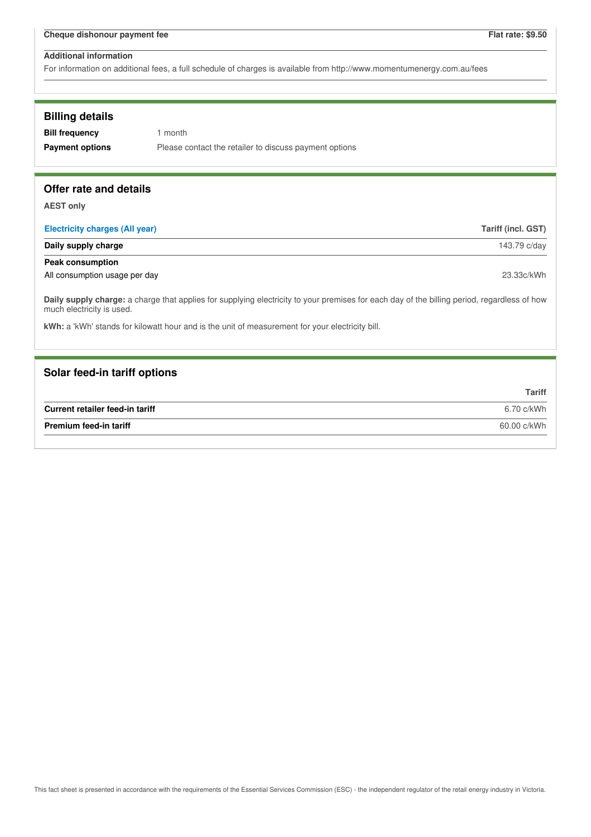For information on additional fees, a full schedule of charges is available from http://www.momentumenergy.com.au/fees

## **Billing details**

**Bill frequency** 1 month **Payment options** Please contact the retailer to discuss payment options

## **Offer rate and details**

**AEST only**

| <b>Electricity charges (All year)</b> | Tariff (incl. GST) |
|---------------------------------------|--------------------|
| Daily supply charge                   | 143.79 c/day       |
| <b>Peak consumption</b>               |                    |
| All consumption usage per day         | 23.33c/kWh         |

**Daily supply charge:** a charge that applies for supplying electricity to your premises for each day of the billing period, regardless of how much electricity is used.

**kWh:** a 'kWh' stands for kilowatt hour and is the unit of measurement for your electricity bill.

## **Solar feed-in tariff options**

|                                 | Tariff      |
|---------------------------------|-------------|
| Current retailer feed-in tariff | 6.70 c/kWh  |
| <b>Premium feed-in tariff</b>   | 60.00 c/kWh |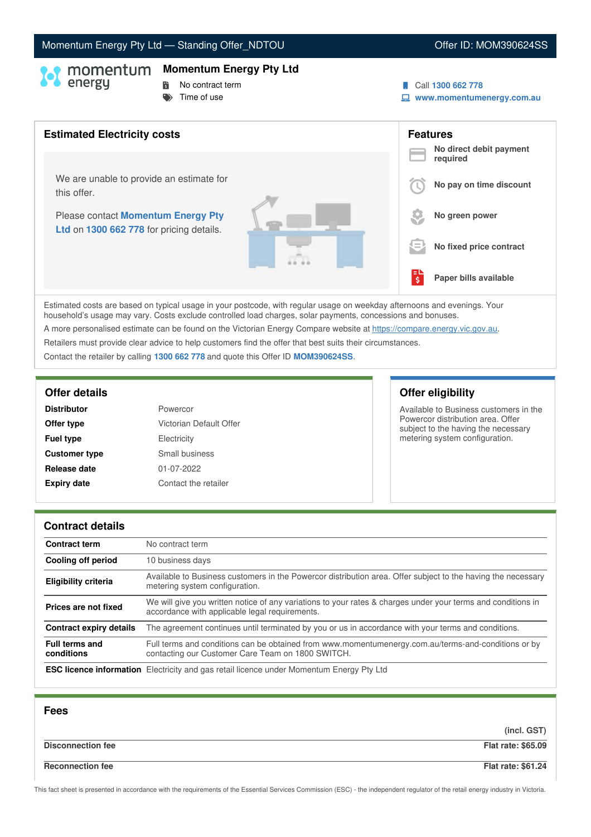# Momentum Energy Pty Ltd - Standing Offer\_NDTOU Now and the Control offer ID: MOM390624SS

## **Momentum Energy Pty Ltd**

# **No contract term**

 $\blacktriangleright$  Time of use

- Call **1300 662 778**
- **www.momentumenergy.com.au**



Estimated costs are based on typical usage in your postcode, with regular usage on weekday afternoons and evenings. Your household's usage may vary. Costs exclude controlled load charges, solar payments, concessions and bonuses. A more personalised estimate can be found on the Victorian Energy Compare website at <https://compare.energy.vic.gov.au>.

Retailers must provide clear advice to help customers find the offer that best suits their circumstances.

Contact the retailer by calling **1300 662 778** and quote this Offer ID **MOM390624SS**.

| <b>Distributor</b>   | Powercor                |
|----------------------|-------------------------|
| Offer type           | Victorian Default Offer |
| <b>Fuel type</b>     | Electricity             |
| <b>Customer type</b> | Small business          |
| Release date         | 01-07-2022              |
| <b>Expiry date</b>   | Contact the retailer    |

# **Offer details Offer eligibility**

Available to Business customers in the Powercor distribution area. Offer subject to the having the necessary metering system configuration.

### **Contract details**

| <b>Contract term</b>                | No contract term                                                                                                                                               |
|-------------------------------------|----------------------------------------------------------------------------------------------------------------------------------------------------------------|
| Cooling off period                  | 10 business days                                                                                                                                               |
| <b>Eligibility criteria</b>         | Available to Business customers in the Powercor distribution area. Offer subject to the having the necessary<br>metering system configuration.                 |
| Prices are not fixed                | We will give you written notice of any variations to your rates & charges under your terms and conditions in<br>accordance with applicable legal requirements. |
| Contract expiry details             | The agreement continues until terminated by you or us in accordance with your terms and conditions.                                                            |
| <b>Full terms and</b><br>conditions | Full terms and conditions can be obtained from www.momentumenergy.com.au/terms-and-conditions or by<br>contacting our Customer Care Team on 1800 SWITCH.       |
|                                     | <b>ESC licence information</b> Electricity and gas retail licence under Momentum Energy Pty Ltd                                                                |

| <b>Fees</b>              |                           |
|--------------------------|---------------------------|
|                          | (incl. GST)               |
| <b>Disconnection fee</b> | <b>Flat rate: \$65.09</b> |
| <b>Reconnection fee</b>  | <b>Flat rate: \$61.24</b> |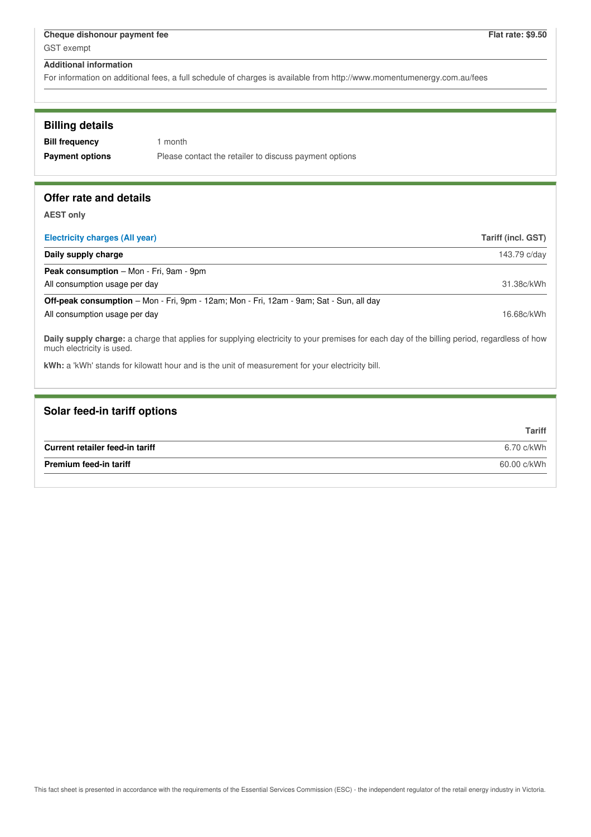For information on additional fees, a full schedule of charges is available from http://www.momentumenergy.com.au/fees

# **Offer rate and details**

**AEST only**

| Electricity charges (All year)                                                                                                                                           | Tariff (incl. GST) |
|--------------------------------------------------------------------------------------------------------------------------------------------------------------------------|--------------------|
| Daily supply charge                                                                                                                                                      | 143.79 c/day       |
| <b>Peak consumption</b> – Mon - Fri, 9am - 9pm                                                                                                                           |                    |
| All consumption usage per day                                                                                                                                            | 31.38c/kWh         |
| <b>Off-peak consumption</b> – Mon - Fri, 9pm - 12am; Mon - Fri, 12am - 9am; Sat - Sun, all day                                                                           |                    |
| All consumption usage per day                                                                                                                                            | 16.68c/kWh         |
| Daily supply charge: a charge that applies for supplying electricity to your premises for each day of the billing period, regardless of how<br>much electricity is used. |                    |

**kWh:** a 'kWh' stands for kilowatt hour and is the unit of measurement for your electricity bill.

| Solar feed-in tariff options    |               |
|---------------------------------|---------------|
|                                 | <b>Tariff</b> |
| Current retailer feed-in tariff | 6.70 c/kWh    |
| <b>Premium feed-in tariff</b>   | 60.00 c/kWh   |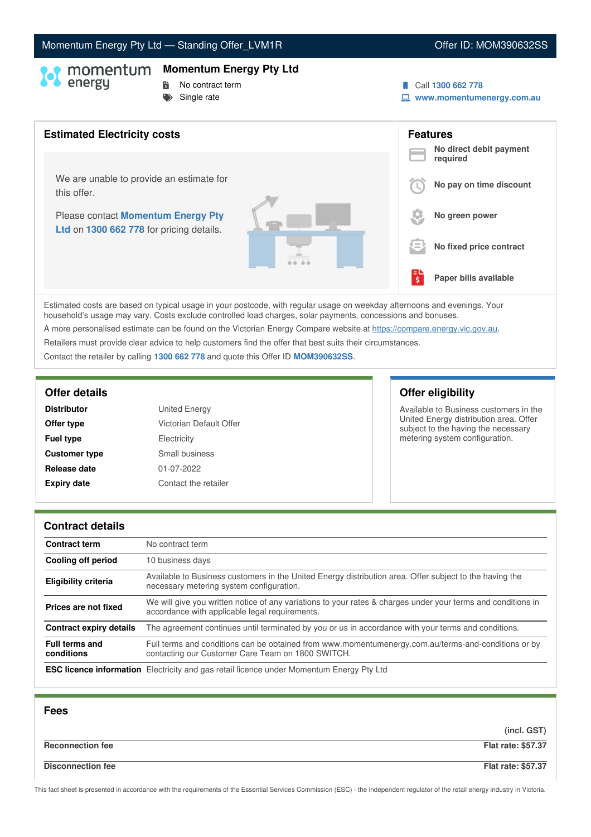# Momentum Energy Pty Ltd - Standing Offer\_LVM1R **Community Community Community Community** Offer ID: MOM390632SS

## **Momentum Energy Pty Ltd**

- 
- **No contract term**
- $S$ ingle rate
- Call **1300 662 778**
- **www.momentumenergy.com.au**



Estimated costs are based on typical usage in your postcode, with regular usage on weekday afternoons and evenings. Your household's usage may vary. Costs exclude controlled load charges, solar payments, concessions and bonuses. A more personalised estimate can be found on the Victorian Energy Compare website at <https://compare.energy.vic.gov.au>.

Retailers must provide clear advice to help customers find the offer that best suits their circumstances.

Contact the retailer by calling **1300 662 778** and quote this Offer ID **MOM390632SS**.

| <b>Distributor</b>   | <b>United Energy</b>    |
|----------------------|-------------------------|
| Offer type           | Victorian Default Offer |
| <b>Fuel type</b>     | Electricity             |
| <b>Customer type</b> | Small business          |
| Release date         | 01-07-2022              |
| <b>Expiry date</b>   | Contact the retailer    |

# **Offer details Offer eligibility**

Available to Business customers in the United Energy distribution area. Offer subject to the having the necessary metering system configuration.

### **Contract details**

| <b>Contract term</b>                | No contract term                                                                                                                                               |
|-------------------------------------|----------------------------------------------------------------------------------------------------------------------------------------------------------------|
| Cooling off period                  | 10 business days                                                                                                                                               |
| <b>Eligibility criteria</b>         | Available to Business customers in the United Energy distribution area. Offer subject to the having the<br>necessary metering system configuration.            |
| Prices are not fixed                | We will give you written notice of any variations to your rates & charges under your terms and conditions in<br>accordance with applicable legal requirements. |
| <b>Contract expiry details</b>      | The agreement continues until terminated by you or us in accordance with your terms and conditions.                                                            |
| <b>Full terms and</b><br>conditions | Full terms and conditions can be obtained from www.momentumenergy.com.au/terms-and-conditions or by<br>contacting our Customer Care Team on 1800 SWITCH.       |
|                                     | <b>ESC licence information</b> Electricity and gas retail licence under Momentum Energy Pty Ltd                                                                |

| <b>Fees</b>              |                           |
|--------------------------|---------------------------|
|                          | (incl. GST)               |
| <b>Reconnection fee</b>  | <b>Flat rate: \$57.37</b> |
| <b>Disconnection fee</b> | <b>Flat rate: \$57.37</b> |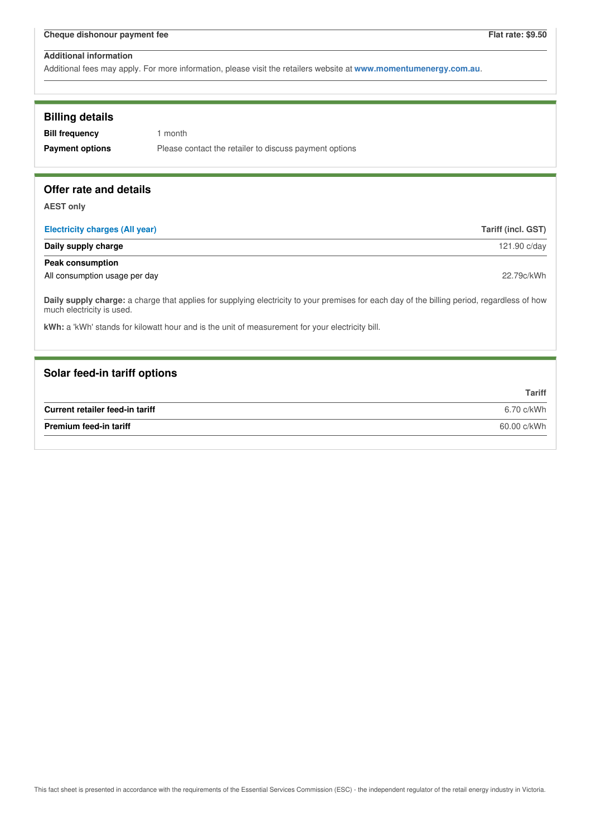Additional fees may apply. For more information, please visit the retailers website at **www.momentumenergy.com.au**.

| <b>Billing details</b><br><b>Bill frequency</b><br><b>Payment options</b> | 1 month<br>Please contact the retailer to discuss payment options                                                                           |                    |
|---------------------------------------------------------------------------|---------------------------------------------------------------------------------------------------------------------------------------------|--------------------|
| Offer rate and details                                                    |                                                                                                                                             |                    |
| <b>AEST only</b>                                                          |                                                                                                                                             |                    |
| <b>Electricity charges (All year)</b>                                     |                                                                                                                                             | Tariff (incl. GST) |
| Daily supply charge                                                       |                                                                                                                                             | 121.90 c/day       |
| <b>Peak consumption</b>                                                   |                                                                                                                                             |                    |
| All consumption usage per day                                             |                                                                                                                                             | 22.79c/kWh         |
| much electricity is used.                                                 | Daily supply charge: a charge that applies for supplying electricity to your premises for each day of the billing period, regardless of how |                    |
|                                                                           | kWh: a 'kWh' stands for kilowatt hour and is the unit of measurement for your electricity bill.                                             |                    |
|                                                                           |                                                                                                                                             |                    |
| Solar feed-in tariff options                                              |                                                                                                                                             |                    |
|                                                                           |                                                                                                                                             | <b>Tariff</b>      |
| Current retailer feed-in tariff                                           |                                                                                                                                             | 6.70 c/kWh         |
| Premium feed-in tariff                                                    |                                                                                                                                             | 60.00 c/kWh        |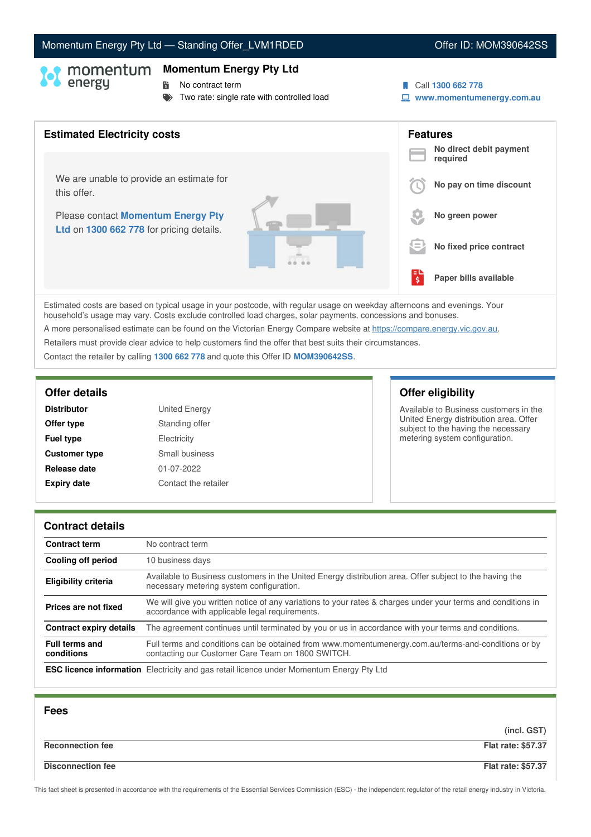# Momentum Energy Pty Ltd - Standing Offer\_LVM1RDED **Canadian Communist Communist Communist Communist Communist Communist Communist Communist Communist Communist Communist Communist Communist Communist Communist Communist Co**

# **Momentum Energy Pty Ltd**

**No contract term** 

- Two rate: single rate with controlled load
- Call **1300 662 778**
- **www.momentumenergy.com.au**



Estimated costs are based on typical usage in your postcode, with regular usage on weekday afternoons and evenings. Your household's usage may vary. Costs exclude controlled load charges, solar payments, concessions and bonuses.

A more personalised estimate can be found on the Victorian Energy Compare website at <https://compare.energy.vic.gov.au>.

Retailers must provide clear advice to help customers find the offer that best suits their circumstances.

Contact the retailer by calling **1300 662 778** and quote this Offer ID **MOM390642SS**.

| <b>Distributor</b>   | <b>United Energy</b> |
|----------------------|----------------------|
| Offer type           | Standing offer       |
| <b>Fuel type</b>     | Electricity          |
| <b>Customer type</b> | Small business       |
| Release date         | 01-07-2022           |
| <b>Expiry date</b>   | Contact the retailer |

# **Offer details Offer eligibility**

Available to Business customers in the United Energy distribution area. Offer subject to the having the necessary metering system configuration.

### **Contract details**

| <b>Contract term</b>                | No contract term                                                                                                                                               |
|-------------------------------------|----------------------------------------------------------------------------------------------------------------------------------------------------------------|
| Cooling off period                  | 10 business days                                                                                                                                               |
| <b>Eligibility criteria</b>         | Available to Business customers in the United Energy distribution area. Offer subject to the having the<br>necessary metering system configuration.            |
| Prices are not fixed                | We will give you written notice of any variations to your rates & charges under your terms and conditions in<br>accordance with applicable legal requirements. |
| <b>Contract expiry details</b>      | The agreement continues until terminated by you or us in accordance with your terms and conditions.                                                            |
| <b>Full terms and</b><br>conditions | Full terms and conditions can be obtained from www.momentumenergy.com.au/terms-and-conditions or by<br>contacting our Customer Care Team on 1800 SWITCH.       |
|                                     | <b>ESC licence information</b> Electricity and gas retail licence under Momentum Energy Pty Ltd                                                                |

| <b>Fees</b>              |                           |
|--------------------------|---------------------------|
|                          | (incl. GST)               |
| <b>Reconnection fee</b>  | <b>Flat rate: \$57.37</b> |
| <b>Disconnection fee</b> | <b>Flat rate: \$57.37</b> |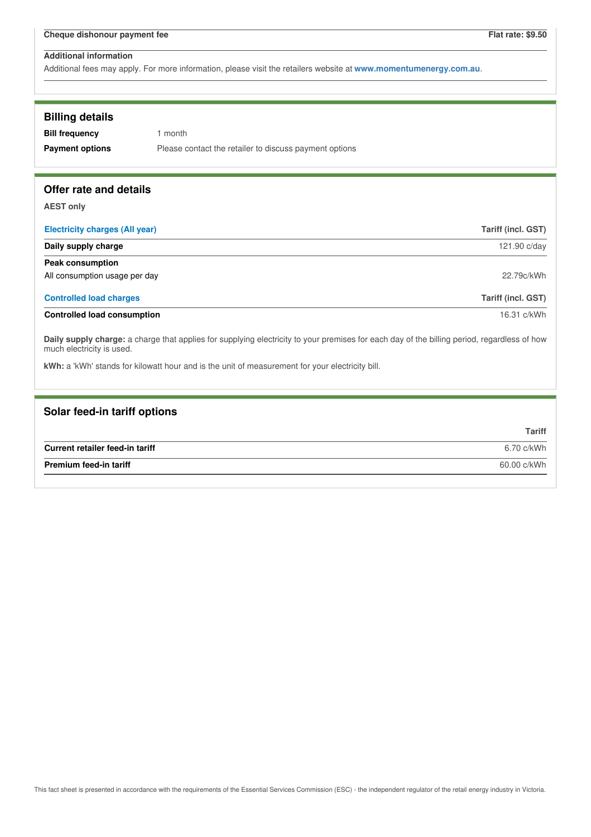| <b>Billing details</b><br><b>Bill frequency</b><br><b>Payment options</b>                                                                                                                                                                                                   | 1 month<br>Please contact the retailer to discuss payment options |                           |
|-----------------------------------------------------------------------------------------------------------------------------------------------------------------------------------------------------------------------------------------------------------------------------|-------------------------------------------------------------------|---------------------------|
| Offer rate and details                                                                                                                                                                                                                                                      |                                                                   |                           |
| <b>AEST only</b>                                                                                                                                                                                                                                                            |                                                                   |                           |
| <b>Electricity charges (All year)</b>                                                                                                                                                                                                                                       |                                                                   | <b>Tariff (incl. GST)</b> |
| Daily supply charge                                                                                                                                                                                                                                                         |                                                                   | 121.90 c/day              |
| <b>Peak consumption</b>                                                                                                                                                                                                                                                     |                                                                   |                           |
| All consumption usage per day                                                                                                                                                                                                                                               |                                                                   | 22.79c/kWh                |
| <b>Controlled load charges</b>                                                                                                                                                                                                                                              |                                                                   | Tariff (incl. GST)        |
| <b>Controlled load consumption</b>                                                                                                                                                                                                                                          |                                                                   | 16.31 c/kWh               |
| Daily supply charge: a charge that applies for supplying electricity to your premises for each day of the billing period, regardless of how<br>much electricity is used.<br>kWh: a 'kWh' stands for kilowatt hour and is the unit of measurement for your electricity bill. |                                                                   |                           |
|                                                                                                                                                                                                                                                                             |                                                                   |                           |

| Solar feed-in tariff options    |               |
|---------------------------------|---------------|
|                                 | <b>Tariff</b> |
| Current retailer feed-in tariff | 6.70 c/kWh    |
| <b>Premium feed-in tariff</b>   | 60.00 c/kWh   |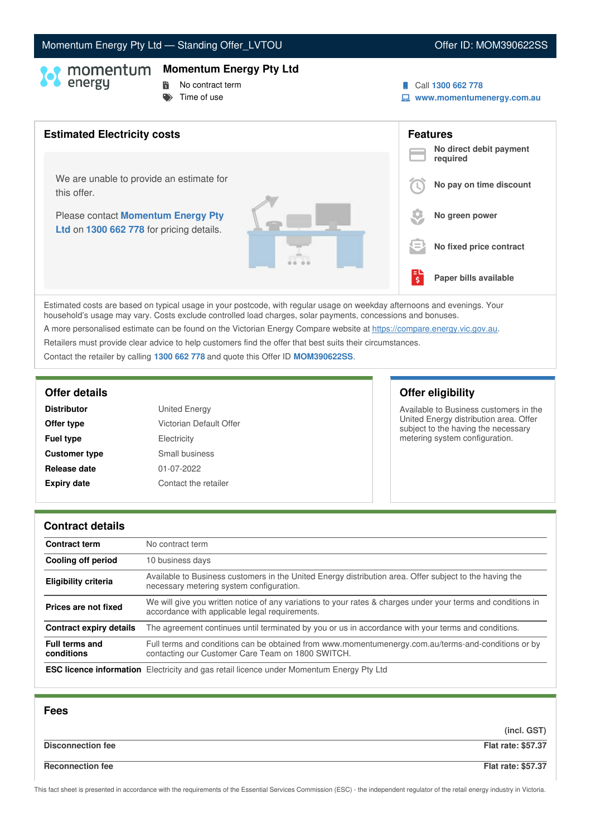# Momentum Energy Pty Ltd - Standing Offer\_LVTOU Now are also asset of the U. MOM390622SS

### **Momentum Energy Pty Ltd**

- 
- **No contract term**  $\blacktriangleright$  Time of use
- Call **1300 662 778**
- **www.momentumenergy.com.au**



Estimated costs are based on typical usage in your postcode, with regular usage on weekday afternoons and evenings. Your household's usage may vary. Costs exclude controlled load charges, solar payments, concessions and bonuses. A more personalised estimate can be found on the Victorian Energy Compare website at <https://compare.energy.vic.gov.au>.

Retailers must provide clear advice to help customers find the offer that best suits their circumstances.

Contact the retailer by calling **1300 662 778** and quote this Offer ID **MOM390622SS**.

| <b>Distributor</b>   | <b>United Energy</b>    |
|----------------------|-------------------------|
| Offer type           | Victorian Default Offer |
| <b>Fuel type</b>     | Electricity             |
| <b>Customer type</b> | Small business          |
| Release date         | 01-07-2022              |
| <b>Expiry date</b>   | Contact the retailer    |

# **Offer details Offer eligibility**

Available to Business customers in the United Energy distribution area. Offer subject to the having the necessary metering system configuration.

### **Contract details**

| <b>Contract term</b>                | No contract term                                                                                                                                               |
|-------------------------------------|----------------------------------------------------------------------------------------------------------------------------------------------------------------|
| Cooling off period                  | 10 business days                                                                                                                                               |
| <b>Eligibility criteria</b>         | Available to Business customers in the United Energy distribution area. Offer subject to the having the<br>necessary metering system configuration.            |
| Prices are not fixed                | We will give you written notice of any variations to your rates & charges under your terms and conditions in<br>accordance with applicable legal requirements. |
| <b>Contract expiry details</b>      | The agreement continues until terminated by you or us in accordance with your terms and conditions.                                                            |
| <b>Full terms and</b><br>conditions | Full terms and conditions can be obtained from www.momentumenergy.com.au/terms-and-conditions or by<br>contacting our Customer Care Team on 1800 SWITCH.       |
|                                     | <b>ESC licence information</b> Electricity and gas retail licence under Momentum Energy Pty Ltd                                                                |

| <b>Fees</b>              |                           |
|--------------------------|---------------------------|
|                          | (incl. GST)               |
| <b>Disconnection fee</b> | <b>Flat rate: \$57.37</b> |
| <b>Reconnection fee</b>  | <b>Flat rate: \$57.37</b> |